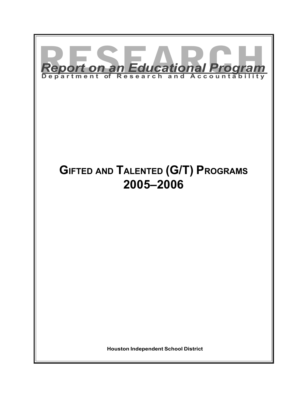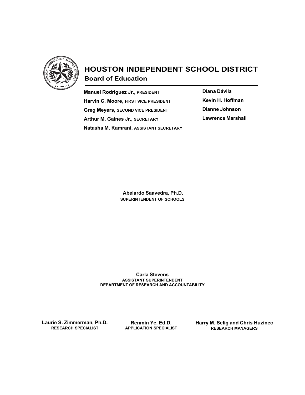

# HOUSTON INDEPENDENT SCHOOL DISTRICT Board of Education

Manuel Rodríguez Jr., PRESIDENT Harvin C. Moore, FIRST VICE PRESIDENT Greg Meyers, SECOND VICE PRESIDENT Arthur M. Gaines Jr., SECRETARY Natasha M. Kamrani, ASSISTANT SECRETARY Diana Dávila Kevin H. Hoffman Dianne Johnson Lawrence Marshall

 Abelardo Saavedra, Ph.D. SUPERINTENDENT OF SCHOOLS

Carla Stevens ASSISTANT SUPERINTENDENT DEPARTMENT OF RESEARCH AND ACCOUNTABILITY

Laurie S. Zimmerman, Ph.D. RESEARCH SPECIALIST

Renmin Ye, Ed.D. APPLICATION SPECIALIST Harry M. Selig and Chris Huzinec RESEARCH MANAGERS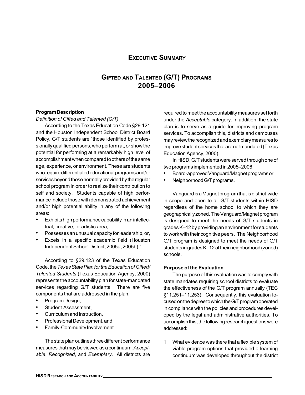# EXECUTIVE SUMMARY

# GIFTED AND TALENTED (G/T) PROGRAMS 2005–2006

#### Program Description

#### Definition of Gifted and Talented (G/T)

According to the Texas Education Code §29.121 and the Houston Independent School District Board Policy, G/T students are "those identified by professionally qualified persons, who perform at, or show the potential for performing at a remarkably high level of accomplishment when compared to others of the same age, experience, or environment. These are students who require differentiated educational programs and/or services beyond those normally provided by the regular school program in order to realize their contribution to self and society. Students capable of high performance include those with demonstrated achievement and/or high potential ability in any of the following areas:

- Exhibits high performance capability in an intellectual, creative, or artistic area,
- Possesses an unusual capacity for leadership, or,
- Excels in a specific academic field (Houston Independent School District, 2005a, 2005b)."

According to §29.123 of the Texas Education Code, the Texas State Plan for the Education of Gifted/ Talented Students (Texas Education Agency, 2000) represents the accountability plan for state-mandated services regarding G/T students. There are five components that are addressed in the plan:

- Program Design,
- Student Assessment,
- Curriculum and Instruction,
- Professional Development, and
- Family-Community Involvement.

The state plan outlines three different performance measures that may be viewed as a continuum: Acceptable, Recognized, and Exemplary. All districts are

required to meet the accountability measures set forth under the Acceptable category. In addition, the state plan is to serve as a guide for improving program services. To accomplish this, districts and campuses may review the recognized and exemplary measures to improve student services that are not mandated (Texas Education Agency, 2000).

In HISD, G/T students were served through one of two programs implemented in 2005–2006:

- Board-approved Vanguard/Magnet programs or
- Neighborhood G/T programs.

Vanguard is a Magnet program that is district-wide in scope and open to all G/T students within HISD regardless of the home school to which they are geographically zoned. The Vanguard/Magnet program is designed to meet the needs of G/T students in grades K–12 by providing an environment for students to work with their cognitive peers. The Neighborhood G/T program is designed to meet the needs of G/T students in grades K–12 at their neighborhood (zoned) schools.

#### Purpose of the Evaluation

The purpose of this evaluation was to comply with state mandates requiring school districts to evaluate the effectiveness of the G/T program annually (TEC §11.251–11.253). Consequently, this evaluation focused on the degree to which the G/T program operated in compliance with the policies and procedures developed by the legal and administrative authorities. To accomplish this, the following research questions were addressed:

1. What evidence was there that a flexible system of viable program options that provided a learning continuum was developed throughout the district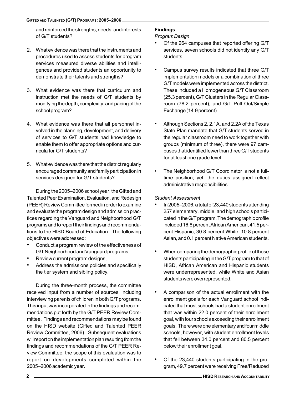and reinforced the strengths, needs, and interests of G/T students?

- 2. What evidence was there that the instruments and procedures used to assess students for program services measured diverse abilities and intelligences and provided students an opportunity to demonstrate their talents and strengths?
- 3. What evidence was there that curriculum and instruction met the needs of G/T students by modifying the depth, complexity, and pacing of the school program?
- 4. What evidence was there that all personnel involved in the planning, development, and delivery of services to G/T students had knowledge to enable them to offer appropriate options and curricula for G/T students?
- 5. What evidence was there that the district regularly encouraged community and family participation in services designed for G/T students?

During the 2005–2006 school year, the Gifted and Talented Peer Examination, Evaluation, and Redesign (PEER) Review Committee formed in order to examine and evaluate the program design and admission practices regarding the Vanguard and Neighborhood G/T programs and to report their findings and recommendations to the HISD Board of Education. The following objectives were addressed:

- Conduct a program review of the effectiveness of G/T Neighborhood and Vanguard programs,
- Review current program designs,
- Address the admissions policies and specifically the tier system and sibling policy.

During the three-month process, the committee received input from a number of sources, including interviewing parents of children in both G/T programs. This input was incorporated in the findings and recommendations put forth by the G/T PEER Review Committee. Findings and recommendations may be found on the HISD website (Gifted and Talented PEER Review Committee, 2006). Subsequent evaluations will report on the implementation plan resulting from the findings and recommendations of the G/T PEER Review Committee; the scope of this evaluation was to report on developments completed within the 2005–2006 academic year.

# Findings

## Program Design

- Of the 264 campuses that reported offering G/T services, seven schools did not identify any G/T students.
- Campus survey results indicated that three G/T implementation models or a combination of three G/T models were implemented across the district. These included a Homogeneous G/T Classroom (25.3 percent), G/T Clusters in the Regular Classroom (78.2 percent), and G/T Pull Out/Simple Exchange (14.9 percent).
- Although Sections 2, 2.1A, and 2.2A of the Texas State Plan mandate that G/T students served in the regular classroom need to work together with groups (minimum of three), there were 97 campuses that identified fewer than three G/T students for at least one grade level.
- The Neighborhood G/T Coordinator is not a fulltime position; yet, the duties assigned reflect administrative responsibilities.

## Student Assessment

- In 2005–2006, a total of 23,440 students attending 257 elementary, middle, and high schools participated in the G/T program. The demographic profile included 16.8 percent African American, 41.5 percent Hispanic, 30.8 percent White, 10.8 percent Asian, and 0.1 percent Native American students.
- When comparing the demographic profile of those students participating in the G/T program to that of HISD, African American and Hispanic students were underrepresented, while White and Asian students were overrepresented.
- A comparison of the actual enrollment with the enrollment goals for each Vanguard school indicated that most schools had a student enrollment that was within 22.0 percent of their enrollment goal, with four schools exceeding their enrollment goals. There were one elementary and four middle schools, however, with student enrollment levels that fell between 34.0 percent and 80.5 percent below their enrollment goal.
- Of the 23,440 students participating in the program, 49.7 percent were receiving Free/Reduced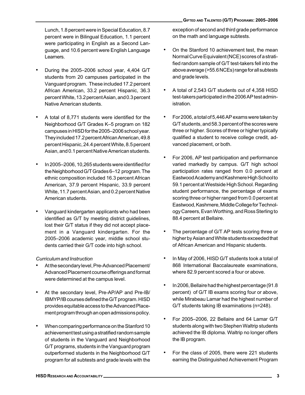Lunch, 1.8 percent were in Special Education, 8.7 percent were in Bilingual Education, 1.1 percent were participating in English as a Second Language, and 10.6 percent were English Language Learners.

- During the 2005–2006 school year, 4,404 G/T students from 20 campuses participated in the Vanguard program. These included 17.2 percent African American, 33.2 percent Hispanic, 36.3 percent White, 13.2 percent Asian, and 0.3 percent Native American students.
- A total of 8,771 students were identified for the Neighborhood G/T Grades K–5 program on 182 campuses in HISD for the 2005–2006 school year. They included 17.2 percent African American, 49.8 percent Hispanic, 24.4 percent White, 8.5 percent Asian, and 0.1 percent Native American students.
- In 2005–2006, 10,265 students were identified for the Neighborhood G/T Grades 6–12 program. The ethnic composition included 16.3 percent African American, 37.9 percent Hispanic, 33.9 percent White, 11.7 percent Asian, and 0.2 percent Native American students.
- Vanguard kindergarten applicants who had been identified as G/T by meeting district guidelines, lost their G/T status if they did not accept placement in a Vanguard kindergarten. For the 2005–2006 academic year, middle school students carried their G/T code into high school.

## Curriculum and Instruction

- At the secondary level, Pre-Advanced Placement/ Advanced Placement course offerings and format were determined at the campus level.
- At the secondary level, Pre-AP/AP and Pre-IB/ IBMYP/IB courses defined the G/T program. HISD provides equitable access to the Advanced Placement program through an open admissions policy.
- When comparing performance on the Stanford 10 achievement test using a stratified random sample of students in the Vanguard and Neighborhood G/T programs, students in the Vanguard program outperformed students in the Neighborhood G/T program for all subtests and grade levels with the

exception of second and third grade performance on the math and language subtests.

- On the Stanford 10 achievement test, the mean Normal Curve Equivalent (NCE) scores of a stratified random sample of G/T test-takers fell into the above average (>55.6 NCEs) range for all subtests and grade levels.
- A total of 2,543 G/T students out of 4,358 HISD test-takers participated in the 2006 AP test administration.
- For 2006, a total of 5,446 AP exams were taken by G/T students, and 58.3 percent of the scores were three or higher. Scores of three or higher typically qualified a student to receive college credit, advanced placement, or both.
- For 2006, AP test participation and performance varied markedly by campus. G/T high school participation rates ranged from 0.0 percent at Eastwood Academy and Kashmere High School to 59.1 percent at Westside High School. Regarding student performance, the percentage of exams scoring three or higher ranged from 0.0 percent at Eastwood, Kashmere, Middle College for Technology Careers, Evan Worthing, and Ross Sterling to 88.4 percent at Bellaire.
- The percentage of G/T AP tests scoring three or higher by Asian and White students exceeded that of African American and Hispanic students.
- In May of 2006, HISD G/T students took a total of 868 International Baccalaureate examinations, where 82.9 percent scored a four or above.
- In 2006, Bellaire had the highest percentage (91.8 percent) of G/T IB exams scoring four or above, while Mirabeau Lamar had the highest number of G/T students taking IB examinations (n=248).
- For 2005–2006, 22 Bellaire and 64 Lamar G/T students along with two Stephen Waltrip students achieved the IB diploma. Waltrip no longer offers the IB program.
- For the class of 2005, there were 221 students earning the Distinguished Achievement Program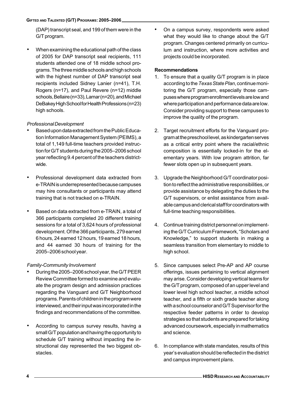(DAP) transcript seal, and 199 of them were in the G/T program.

• When examining the educational path of the class of 2005 for DAP transcript seal recipients, 111 students attended one of 18 middle school programs. The three middle schools and high schools with the highest number of DAP transcript seal recipients included Sidney Lanier (n=41), T.H. Rogers (n=17), and Paul Revere (n=12) middle schools, Bellaire (n=33), Lamar (n=20), and Michael DeBakey High School for Health Professions (n=23) high schools.

## Professional Development

- Based upon data extracted from the Public Education Information Management System (PEIMS), a total of 1,149 full-time teachers provided instruction for G/T students during the 2005–2006 school year reflecting 9.4 percent of the teachers districtwide.
- Professional development data extracted from e-TRAIN is underrepresented because campuses may hire consultants or participants may attend training that is not tracked on e-TRAIN.
- Based on data extracted from e-TRAIN, a total of 366 participants completed 20 different training sessions for a total of 3,624 hours of professional development. Of the 366 participants, 279 earned 6 hours, 24 earned 12 hours, 19 earned 18 hours, and 44 earned 30 hours of training for the 2005–2006 school year.

## Family-Community Involvement

- During the 2005–2006 school year, the G/T PEER Review Committee formed to examine and evaluate the program design and admission practices regarding the Vanguard and G/T Neighborhood programs. Parents of children in the program were interviewed, and their input was incorporated in the findings and recommendations of the committee.
- According to campus survey results, having a small G/T population and having the opportunity to schedule G/T training without impacting the instructional day represented the two biggest obstacles.

• On a campus survey, respondents were asked what they would like to change about the G/T program. Changes centered primarily on curriculum and instruction, where more activities and projects could be incorporated.

## Recommendations

- 1. To ensure that a quality G/T program is in place according to the Texas State Plan, continue monitoring the G/T program, especially those campuses where program enrollment levels are low and where participation and performance data are low. Consider providing support to these campuses to improve the quality of the program.
- 2. Target recruitment efforts for the Vanguard program at the preschool level, as kindergarten serves as a critical entry point where the racial/ethnic composition is essentially locked-in for the elementary years. With low program attrition, far fewer slots open up in subsequent years.
- 3. Upgrade the Neighborhood G/T coordinator position to reflect the administrative responsibilities, or provide assistance by delegating the duties to the G/T supervisors, or enlist assistance from available campus and clerical staff for coordinators with full-time teaching responsibilities.
- 4. Continue training district personnel on implementing the G/T Curriculum Framework, "Scholars and Knowledge," to support students in making a seamless transition from elementary to middle to high school.
- 5. Since campuses select Pre-AP and AP course offerings, issues pertaining to vertical alignment may arise. Consider developing vertical teams for the G/T program, composed of an upper level and lower level high school teacher, a middle school teacher, and a fifth or sixth grade teacher along with a school counselor and G/T Supervisor for the respective feeder patterns in order to develop strategies so that students are prepared for taking advanced coursework, especially in mathematics and science.
- 6. In compliance with state mandates, results of this year's evaluation should be reflected in the district and campus improvement plans.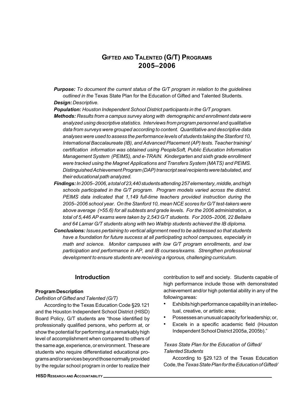# GIFTED AND TALENTED (G/T) PROGRAMS 2005–2006

**Purpose:** To document the current status of the G/T program in relation to the guidelines outlined in the Texas State Plan for the Education of Gifted and Talented Students. Desian: Descriptive.

Population: Houston Independent School District participants in the G/T program.

- Methods: Results from a campus survey along with demographic and enrollment data were analyzed using descriptive statistics. Interviews from program personnel and qualitative data from surveys were grouped according to content. Quantitative and descriptive data analyses were used to assess the performance levels of students taking the Stanford 10, International Baccalaureate (IB), and Advanced Placement (AP) tests. Teacher training/ certification information was obtained using PeopleSoft, Public Education Information Management System (PEIMS), and e-TRAIN. Kindergarten and sixth grade enrollment were tracked using the Magnet Applications and Transfers System (MATS) and PEIMS. Distinguished Achievement Program (DAP) transcript seal recipients were tabulated, and their educational path analyzed.
- Findings: In 2005–2006, a total of 23,440 students attending 257 elementary, middle, and high schools participated in the G/T program. Program models varied across the district. PEIMS data indicated that 1,149 full-time teachers provided instruction during the 2005–2006 school year. On the Stanford 10, mean NCE scores for G/T test-takers were above average (>55.6) for all subtests and grade levels. For the 2006 administration, a total of 5,446 AP exams were taken by 2,543 G/T students. For 2005–2006, 22 Bellaire and 64 Lamar G/T students along with two Waltrip students achieved the IB diploma.
- Conclusions: Issues pertaining to vertical alignment need to be addressed so that students have a foundation for future success at all participating school campuses, especially in math and science. Monitor campuses with low G/T program enrollments, and low participation and performance in AP, and IB courses/exams. Strengthen professional development to ensure students are receiving a rigorous, challenging curriculum.

### Introduction

#### Program Description

#### Definition of Gifted and Talented (G/T)

According to the Texas Education Code §29.121 and the Houston Independent School District (HISD) Board Policy, G/T students are "those identified by professionally qualified persons, who perform at, or show the potential for performing at a remarkably high level of accomplishment when compared to others of the same age, experience, or environment. These are students who require differentiated educational programs and/or services beyond those normally provided by the regular school program in order to realize their

contribution to self and society. Students capable of high performance include those with demonstrated achievement and/or high potential ability in any of the following areas:

- Exhibits high performance capability in an intellectual, creative, or artistic area;
- Possesses an unusual capacity for leadership; or,
- Excels in a specific academic field (Houston Independent School District 2005a, 2005b)."

#### Texas State Plan for the Education of Gifted/ Talented Students

According to §29.123 of the Texas Education Code, the Texas State Plan for the Education of Gifted/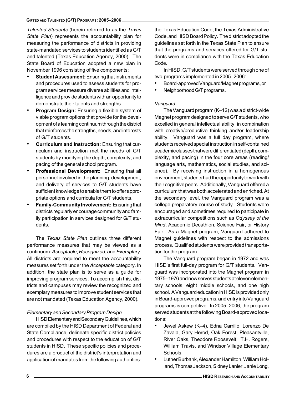Talented Students (herein referred to as the Texas State Plan) represents the accountability plan for measuring the performance of districts in providing state-mandated services to students identified as G/T and talented (Texas Education Agency, 2000). The State Board of Education adopted a new plan in November 1996 consisting of five components:

- Student Assessment: Ensuring that instruments and procedures used to assess students for program services measure diverse abilities and intelligence and provide students with an opportunity to demonstrate their talents and strengths.
- **Program Design:** Ensuring a flexible system of viable program options that provide for the development of a learning continuum through the district that reinforces the strengths, needs, and interests of G/T students.
- Curriculum and Instruction: Ensuring that curriculum and instruction met the needs of G/T students by modifying the depth, complexity, and pacing of the general school program.
- Professional Development: Ensuring that all personnel involved in the planning, development, and delivery of services to G/T students have sufficient knowledge to enable them to offer appropriate options and curricula for G/T students.
- Family-Community Involvement: Ensuring that districts regularly encourage community and family participation in services designed for G/T students.

The Texas State Plan outlines three different performance measures that may be viewed as a continuum: Acceptable, Recognized, and Exemplary. All districts are required to meet the accountability measures set forth under the Acceptable category. In addition, the state plan is to serve as a guide for improving program services. To accomplish this, districts and campuses may review the recognized and exemplary measures to improve student services that are not mandated (Texas Education Agency, 2000).

# Elementary and Secondary Program Design

HISD Elementary and Secondary Guidelines, which are compiled by the HISD Department of Federal and State Compliance, delineate specific district policies and procedures with respect to the education of G/T students in HISD. These specific policies and procedures are a product of the district's interpretation and application of mandates from the following authorities:

the Texas Education Code, the Texas Administrative Code, and HISD Board Policy. The district adopted the guidelines set forth in the Texas State Plan to ensure that the programs and services offered for G/T students were in compliance with the Texas Education Code.

In HISD, G/T students were served through one of two programs implemented in 2005–2006:

- Board-approved Vanguard/Magnet programs, or
- Neighborhood G/T programs.

## Vanguard

The Vanguard program (K–12) was a district-wide Magnet program designed to serve G/T students, who excelled in general intellectual ability, in combination with creative/productive thinking and/or leadership ability. Vanguard was a full day program, where students received special instruction in self-contained academic classes that were differentiated (depth, complexity, and pacing) in the four core areas (reading/ language arts, mathematics, social studies, and science). By receiving instruction in a homogenous environment, students had the opportunity to work with their cognitive peers. Additionally, Vanguard offered a curriculum that was both accelerated and enriched. At the secondary level, the Vanguard program was a college preparatory course of study. Students were encouraged and sometimes required to participate in extracurricular competitions such as Odyssey of the Mind, Academic Decathlon, Science Fair, or History Fair. As a Magnet program, Vanguard adhered to Magnet guidelines with respect to the admissions process. Qualified students were provided transportation for the program.

The Vanguard program began in 1972 and was HISD's first full-day program for G/T students. Vanguard was incorporated into the Magnet program in 1975–1976 and now serves students at eleven elementary schools, eight middle schools, and one high school. A Vanguard education in HISD is provided only in Board-approved programs, and entry into Vanguard programs is competitive. In 2005–2006, the program served students at the following Board-approved locations:

- Jewel Askew (K–4), Edna Carrillo, Lorenzo De Zavala, Gary Herod, Oak Forest, Pleasantville, River Oaks, Theodore Roosevelt, T.H. Rogers, William Travis, and Windsor Village Elementary Schools;
- Luther Burbank, Alexander Hamilton, William Holland, Thomas Jackson, Sidney Lanier, Janie Long,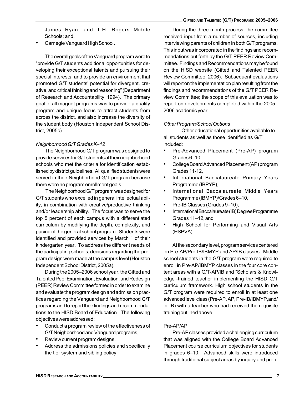James Ryan, and T.H. Rogers Middle Schools; and,

• Carnegie Vanguard High School.

The overall goals of the Vanguard program were to "provide G/T students additional opportunities for developing their exceptional talents and pursuing their special interests, and to provide an environment that promoted G/T students' potential for divergent, creative, and critical thinking and reasoning" (Department of Research and Accountability, 1994). The primary goal of all magnet programs was to provide a quality program and unique focus to attract students from across the district, and also increase the diversity of the student body (Houston Independent School District, 2005c).

### Neighborhood G/T Grades K–12

The Neighborhood G/T program was designed to provide services for G/T students at their neighborhood schools who met the criteria for identification established by district guidelines. All qualified students were served in their Neighborhood G/T program because there were no program enrollment goals.

 The Neighborhood G/T program was designed for G/T students who excelled in general intellectual ability, in combination with creative/productive thinking and/or leadership ability. The focus was to serve the top 5 percent of each campus with a differentiated curriculum by modifying the depth, complexity, and pacing of the general school program. Students were identified and provided services by March 1 of their kindergarten year. To address the different needs of the participating schools, decisions regarding the program design were made at the campus level (Houston Independent School District, 2005a).

During the 2005–2006 school year, the Gifted and Talented Peer Examination, Evaluation, and Redesign (PEER) Review Committee formed in order to examine and evaluate the program design and admission practices regarding the Vanguard and Neighborhood G/T programs and to report their findings and recommendations to the HISD Board of Education. The following objectives were addressed:

- Conduct a program review of the effectiveness of G/T Neighborhood and Vanguard programs,
- Review current program designs,
- Address the admissions policies and specifically the tier system and sibling policy.

During the three-month process, the committee received input from a number of sources, including interviewing parents of children in both G/T programs. This input was incorporated in the findings and recommendations put forth by the G/T PEER Review Committee. Findings and Recommendations may be found on the HISD website (Gifted and Talented PEER Review Committee, 2006). Subsequent evaluations will report on the implementation plan resulting from the findings and recommendations of the G/T PEER Review Committee; the scope of this evaluation was to report on developments completed within the 2005– 2006 academic year.

#### Other Program/School Options

Other educational opportunities available to all students as well as those identified as G/T included:

- Pre-Advanced Placement (Pre-AP) program Grades 6–10,
- College Board Advanced Placement (AP) program Grades 11-12,
- International Baccalaureate Primary Years Programme (IBPYP),
- International Baccalaureate Middle Years Programme (IBMYP)/Grades 6–10,
- Pre-IB Classes (Grades 9-10),
- International Baccalaureate (IB) Degree Programme Grades 11–12, and
- High School for Performing and Visual Arts (HSPVA).

At the secondary level, program services centered on Pre-AP/Pre-IB/IBMYP and AP/IB classes. Middle school students in the G/T program were required to enroll in Pre-AP/IBMYP classes in the four core content areas with a G/T-AP/IB and "Scholars & Knowledge"-trained teacher implementing the HISD G/T curriculum framework. High school students in the G/T program were required to enroll in at least one advanced level class (Pre-AP, AP, Pre-IB/IBMYP,and/ or IB) with a teacher who had received the requisite training outlined above.

## Pre-AP/AP

Pre-AP classes provided a challenging curriculum that was aligned with the College Board Advanced Placement course curriculum objectives for students in grades 6–10. Advanced skills were introduced through traditional subject areas by inquiry and prob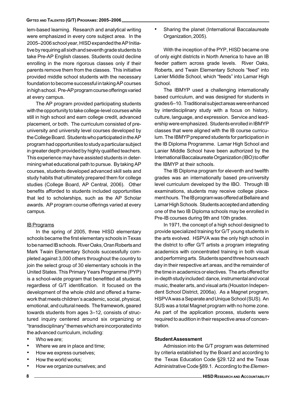lem-based learning. Research and analytical writing were emphasized in every core subject area. In the 2005–2006 school year, HISD expanded the AP Initiative by requiring all sixth and seventh grade students to take Pre-AP English classes. Students could decline enrolling in the more rigorous classes only if their parents remove them from the classes. This initiative provided middle school students with the necessary foundation to become successful in taking AP courses in high school. Pre-AP program course offerings varied at every campus.

The AP program provided participating students with the opportunity to take college-level courses while still in high school and earn college credit, advanced placement, or both. The curriculum consisted of preuniversity and university level courses developed by the College Board. Students who participated in the AP program had opportunities to study a particular subject in greater depth provided by highly qualified teachers. This experience may have assisted students in determining what educational path to pursue. By taking AP courses, students developed advanced skill sets and study habits that ultimately prepared them for college studies (College Board, AP Central, 2006). Other benefits afforded to students included opportunities that led to scholarships, such as the AP Scholar awards. AP program course offerings varied at every campus.

#### IB Programs

In the spring of 2005, three HISD elementary schools became the first elementary schools in Texas to be named IB schools. River Oaks, Oran Roberts and Mark Twain Elementary Schools successfully completed against 3,000 others throughout the country to join the select group of 30 elementary schools in the United States. This Primary Years Programme (PYP) is a school-wide program that benefitted all students regardless of G/T identification. It focused on the development of the whole child and offered a framework that meets children's academic, social, physical, emotional, and cultural needs. The framework, geared towards students from ages 3–12, consists of structured inquiry centered around six organizing or "transdisciplinary" themes which are incorporated into the advanced curriculum, including:

- Who we are:
- Where we are in place and time;
- How we express ourselves;
- How the world works;
- How we organize ourselves; and

• Sharing the planet (International Baccalaureate Organization, 2005).

With the inception of the PYP, HISD became one of only eight districts in North America to have an IB feeder pattern across grade levels. River Oaks, Roberts, and Twain Elementary Schools "feed" into Lanier Middle School, which "feeds" into Lamar High School.

The IBMYP used a challenging internationally based curriculum, and was designed for students in grades 6–10. Traditional subject areas were enhanced by interdisciplinary study with a focus on history, culture, language, and expression. Service and leadership were emphasized. Students enrolled in IBMYP classes that were aligned with the IB course curriculum. The IBMYP prepared students for participation in the IB Diploma Programme. Lamar High School and Lanier Middle School have been authorized by the International Baccalaureate Organization (IBO) to offer the IBMYP at their schools.

The IB Diploma program for eleventh and twelfth grades was an internationally based pre-university level curriculum developed by the IBO. Through IB examinations, students may receive college placement hours. The IB program was offered at Bellaire and Lamar High Schools. Students accepted and attending one of the two IB Diploma schools may be enrolled in Pre-IB courses during 9th and 10th grades.

In 1971, the concept of a high school designed to provide specialized training for G/T young students in the arts evolved. HSPVA was the only high school in the district to offer G/T artists a program integrating academics with concentrated training in both visual and performing arts. Students spend three hours each day in their respective art areas, and the remainder of the time in academics or electives. The arts offered for in-depth study included: dance, instrumental and vocal music, theater arts, and visual arts (Houston Independent School District, 2006a). As a Magnet program, HSPVA was a Separate and Unique School (SUS). An SUS was a total Magnet program with no home zone. As part of the application process, students were required to audition in their respective area of concentration.

#### Student Assessment

Admission into the G/T program was determined by criteria established by the Board and according to the Texas Education Code §29.122 and the Texas Administrative Code §89.1. According to the Elemen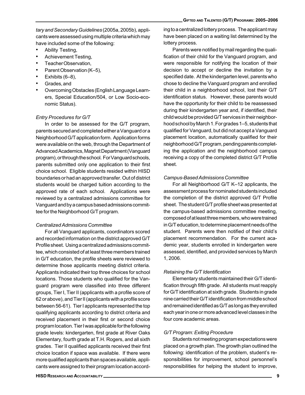tary and Secondary Guidelines (2005a, 2005b), applicants were assessed using multiple criteria which may have included some of the following:

- Ability Testing,
- Achievement Testing,
- Teacher Observation,
- Parent Observation (K–5),
- Exhibits (6–8),
- Grades, and
- Overcoming Obstacles (English Language Learners, Special Education/504, or Low Socio-economic Status).

### Entry Procedures for G/T

In order to be assessed for the G/T program, parents secured and completed either a Vanguard or a Neighborhood G/T application form. Application forms were available on the web, through the Department of Advanced Academics, Magnet Department (Vanguard program), or through the school. For Vanguard schools, parents submitted only one application to their first choice school. Eligible students resided within HISD boundaries or had an approved transfer. Out of district students would be charged tuition according to the approved rate of each school. Applications were reviewed by a centralized admissions committee for Vanguard and by a campus based admissions committee for the Neighborhood G/T program.

#### Centralized Admissions Committee

For all Vanguard applicants, coordinators scored and recorded information on the district approved G/T Profile sheet. Using a centralized admissions committee, which consisted of at least three members trained in G/T education, the profile sheets were reviewed to determine those applicants meeting district criteria. Applicants indicated their top three choices for school locations. Those students who qualified for the Vanguard program were classified into three different groups, Tier I, Tier II (applicants with a profile score of 62 or above), and Tier II (applicants with a profile score between 56-61). Tier I applicants represented the top qualifying applicants according to district criteria and received placement in their first or second choice program location. Tier I was applicable for the following grade levels: kindergarten, first grade at River Oaks Elementary, fourth grade at T.H. Rogers, and all sixth grades. Tier II qualified applicants received their first choice location if space was available. If there were more qualified applicants than spaces available, applicants were assigned to their program location accord-

ing to a centralized lottery process. The applicant may have been placed on a waiting list determined by the lottery process.

Parents were notified by mail regarding the qualification of their child for the Vanguard program, and were responsible for notifying the location of their decision to accept or decline the invitation by a specified date. At the kindergarten level, parents who chose to decline the Vanguard program and enrolled their child in a neighborhood school, lost their G/T identification status. However, these parents would have the opportunity for their child to be reassessed during their kindergarten year and, if identified, their child would be provided G/T services in their neighborhood school by March 1. For grades 1–5, students that qualified for Vanguard, but did not accept a Vanguard placement location, automatically qualified for their neighborhood G/T program, pending parents completing the application and the neighborhood campus receiving a copy of the completed district G/T Profile sheet.

#### Campus-Based Admissions Committee

For all Neighborhood G/T K–12 applicants, the assessment process for nominated students included the completion of the district approved G/T Profile sheet. The student G/T profile sheet was presented at the campus-based admissions committee meeting, composed of at least three members, who were trained in G/T education, to determine placement needs of the student. Parents were then notified of their child's placement recommendation. For the current academic year, students enrolled in kindergarten were assessed, identified, and provided services by March 1, 2006.

#### Retaining the G/T Identification

Elementary students maintained their G/T identification through fifth grade. All students must reapply for G/T identification at sixth grade. Students in grade nine carried their G/T identification from middle school and remained identified as G/T as long as they enrolled each year in one or more advanced level classes in the four core academic areas.

#### G/T Program: Exiting Procedure

Students not meeting program expectations were placed on a growth plan. The growth plan outlined the following: identification of the problem, student's responsibilities for improvement, school personnel's responsibilities for helping the student to improve,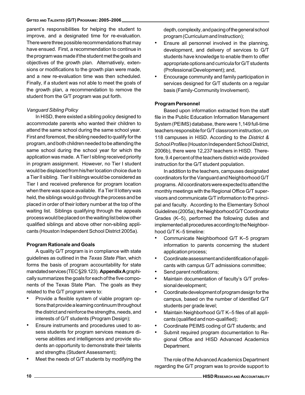#### GIFTED AND TALENTED (G/T) PROGRAMS: 2005–2006

parent's responsibilities for helping the student to improve, and a designated time for re-evaluation. There were three possible recommendations that may have ensued. First, a recommendation to continue in the program was made if the student met the goals and objectives of the growth plan. Alternatively, extensions or modifications to the growth plan were made, and a new re-evaluation time was then scheduled. Finally, if a student was not able to meet the goals of the growth plan, a recommendation to remove the student from the G/T program was put forth.

#### Vanguard Sibling Policy

In HISD, there existed a sibling policy designed to accommodate parents who wanted their children to attend the same school during the same school year. First and foremost, the sibling needed to qualify for the program, and both children needed to be attending the same school during the school year for which the application was made. A Tier I sibling received priority in program assignment. However, no Tier I student would be displaced from his/her location choice due to a Tier II sibling. Tier II siblings would be considered as Tier I and received preference for program location when there was space available. If a Tier II lottery was held, the siblings would go through the process and be placed in order of their lottery number at the top of the waiting list. Siblings qualifying through the appeals process would be placed on the waiting list below other qualified siblings and above other non-sibling applicants (Houston Independent School District 2005a).

#### Program Rationale and Goals

A quality G/T program is in compliance with state guidelines as outlined in the Texas State Plan, which forms the basis of program accountability for state mandated services (TEC §29.123). Appendix A graphically summarizes the goals for each of the five components of the Texas State Plan. The goals as they related to the G/T program were to:

- Provide a flexible system of viable program options that provide a learning continuum throughout the district and reinforce the strengths, needs, and interests of G/T students (Program Design);
- Ensure instruments and procedures used to assess students for program services measure diverse abilities and intelligences and provide students an opportunity to demonstrate their talents and strengths (Student Assessment);
- Meet the needs of G/T students by modifying the

depth, complexity, and pacing of the general school program (Curriculum and Instruction);

- Ensure all personnel involved in the planning, development, and delivery of services to G/T students have knowledge to enable them to offer appropriate options and curricula for G/T students (Professional Development); and,
- Encourage community and family participation in services designed for G/T students on a regular basis (Family-Community Involvement).

#### Program Personnel

Based upon information extracted from the staff file in the Public Education Information Management System (PEIMS) database, there were 1,149 full-time teachers responsible for G/T classroom instruction, on 118 campuses in HISD. According to the District & School Profiles (Houston Independent School District, 2006b), there were 12,237 teachers in HISD. Therefore, 9.4 percent of the teachers district-wide provided instruction for the G/T student population.

In addition to the teachers, campuses designated coordinators for the Vanguard and Neighborhood G/T programs. All coordinators were expected to attend the monthly meetings with the Regional Office G/T supervisors and communicate G/T information to the principal and faculty. According to the Elementary School Guidelines (2005a), the Neighborhood G/T Coordinator Grades (K–5), performed the following duties and implemented all procedures according to the Neighborhood G/T K–5 timeline:

- Communicate Neighborhood G/T K–5 program information to parents concerning the student application process;
- Coordinate assessment and identification of applicants with campus G/T admissions committee;
- Send parent notifications;
- Maintain documentation of faculty's G/T professional development;
- Coordinate development of program design for the campus, based on the number of identified G/T students per grade level;
- Maintain Neighborhood G/T K–5 files of all applicants (qualified and non-qualified);
- Coordinate PEIMS coding of G/T students; and
- Submit required program documentation to Regional Office and HISD Advanced Academics Department.

The role of the Advanced Academics Department regarding the G/T program was to provide support to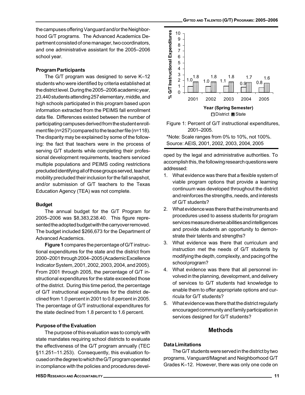the campuses offering Vanguard and/or the Neighborhood G/T programs. The Advanced Academics Department consisted of one manager, two coordinators, and one administrative assistant for the 2005–2006 school year.

#### Program Participants

The G/T program was designed to serve K–12 students who were identified by criteria established at the district level. During the 2005–2006 academic year, 23,440 students attending 257 elementary, middle, and high schools participated in this program based upon information extracted from the PEIMS fall enrollment data file. Differences existed between the number of participating campuses derived from the student enrollment file (n=257) compared to the teacher file (n=118). The disparity may be explained by some of the following: the fact that teachers were in the process of serving G/T students while completing their professional development requirements, teachers serviced multiple populations and PEIMS coding restrictions precluded identifying all of those groups served, teacher mobility precluded their inclusion for the fall snapshot, and/or submission of G/T teachers to the Texas Education Agency (TEA) was not complete.

#### Budget

The annual budget for the G/T Program for 2005–2006 was \$8,383,238.40. This figure represented the adopted budget with the carryover removed. The budget included \$266,673 for the Department of Advanced Academics.

Figure 1 compares the percentage of G/T instructional expenditures for the state and the district from 2000–2001 through 2004–2005 (Academic Excellence Indicator System, 2001, 2002, 2003, 2004, and 2005). From 2001 through 2005, the percentage of G/T instructional expenditures for the state exceeded those of the district. During this time period, the percentage of G/T instructional expenditures for the district declined from 1.0 percent in 2001 to 0.8 percent in 2005. The percentage of G/T instructional expenditures for the state declined from 1.8 percent to 1.6 percent.

## Purpose of the Evaluation

The purpose of this evaluation was to comply with state mandates requiring school districts to evaluate the effectiveness of the G/T program annually (TEC §11.251–11.253). Consequently, this evaluation focused on the degree to which the G/T program operated in compliance with the policies and procedures devel-



Figure 1: Percent of G/T instructional expenditures, 2001–2005.

\*Note: Scale ranges from 0% to 10%, not 100%. Source: AEIS, 2001, 2002, 2003, 2004, 2005

oped by the legal and administrative authorities. To accomplish this, the following research questions were addressed:

- 1. What evidence was there that a flexible system of viable program options that provide a learning continuum was developed throughout the district and reinforces the strengths, needs, and interests of G/T students?
- 2. What evidence was there that the instruments and procedures used to assess students for program services measure diverse abilities and intelligences and provide students an opportunity to demonstrate their talents and strengths?
- 3. What evidence was there that curriculum and instruction met the needs of G/T students by modifying the depth, complexity, and pacing of the school program?
- 4. What evidence was there that all personnel involved in the planning, development, and delivery of services to G/T students had knowledge to enable them to offer appropriate options and curricula for G/T students?
- 5. What evidence was there that the district regularly encouraged community and family participation in services designed for G/T students?

# Methods

## Data Limitations

The G/T students were served in the district by two programs, Vanguard/Magnet and Neighborhood G/T Grades K–12. However, there was only one code on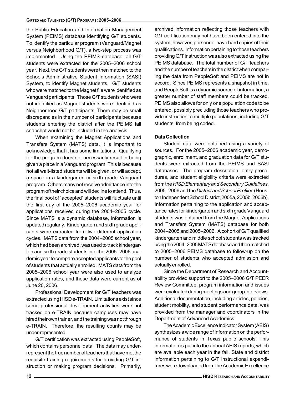the Public Education and Information Management System (PEIMS) database identifying G/T students. To identify the particular program (Vanguard/Magnet versus Neighborhood G/T), a two-step process was implemented. Using the PEIMS database, all G/T students were extracted for the 2005–2006 school year. Next, the G/T students were then matched to the Schools Administrative Student Information (SASI) System, to identify Magnet students. G/T students who were matched to the Magnet file were identified as Vanguard participants. Those G/T students who were not identified as Magnet students were identified as Neighborhood G/T participants. There may be small discrepancies in the number of participants because students entering the district after the PEIMS fall snapshot would not be included in the analysis.

When examining the Magnet Applications and Transfers System (MATS) data, it is important to acknowledge that it has some limitations. Qualifying for the program does not necessarily result in being given a place in a Vanguard program. This is because not all wait-listed students will be given, or will accept, a space in a kindergarten or sixth grade Vanguard program. Others many not receive admittance into the program of their choice and will decline to attend. Thus, the final pool of "accepted" students will fluctuate until the first day of the 2005–2006 academic year for applications received during the 2004–2005 cycle. Since MATS is a dynamic database, information is updated regularly. Kindergarten and sixth grade applicants were extracted from two different application cycles. MATS data from the 2004–2005 school year, which had been archived, was used to track kindergarten and sixth grade students into the 2005–2006 academic year to compare accepted applicants to the pool of students that actually enrolled. MATS data from the 2005–2006 school year were also used to analyze application rates, and these data were current as of June 20, 2006.

Professional Development for G/T teachers was extracted using HISD e-TRAIN. Limitations exist since some professional development activities were not tracked on e-TRAIN because campuses may have hired their own trainer, and the training was not through e-TRAIN. Therefore, the resulting counts may be under-represented.

G/T certification was extracted using PeopleSoft, which contains personnel data. The data may underrepresent the true number of teachers that have met the requisite training requirements for providing G/T instruction or making program decisions. Primarily, archived information reflecting those teachers with G/T certification may not have been entered into the system; however, personnel have hard copies of their qualifications. Information pertaining to those teachers providing G/T instruction was also extracted using the PEIMS database. The total number of G/T teachers and the number of teachers in the district when comparing the data from PeopleSoft and PEIMS are not in accord. Since PEIMS represents a snapshot in time, and PeopleSoft is a dynamic source of information, a greater number of staff members could be tracked. PEIMS also allows for only one population code to be entered, possibly precluding those teachers who provide instruction to multiple populations, including G/T students, from being coded.

#### Data Collection

Student data were obtained using a variety of sources. For the 2005–2006 academic year, demographic, enrollment, and graduation data for G/T students were extracted from the PEIMS and SASI databases. The program description, entry procedures, and student eligibility criteria were extracted from the HISD Elementary and Secondary Guidelines, 2005–2006 and the District and School Profiles (Houston Independent School District, 2005a, 2005b, 2006b). Information pertaining to the application and acceptance rates for kindergarten and sixth grade Vanguard students was obtained from the Magnet Applications and Transfers System (MATS) database for both 2004–2005 and 2005–2006. A cohort of G/T qualified kindergarten and middle school students was tracked using the 2004–2005 MATS database and then matched to 2005–2006 PEIMS database to follow-up on the number of students who accepted admission and actually enrolled.

Since the Department of Research and Accountability provided support to the 2005–2006 G/T PEER Review Committee, program information and issues were evaluated during meetings and group interviews. Additional documentation, including articles, policies, student mobility, and student performance data, was provided from the manager and coordinators in the Department of Advanced Academics.

The Academic Excellence Indicator System (AEIS) synthesizes a wide range of information on the performance of students in Texas public schools. This information is put into the annual AEIS reports, which are available each year in the fall. State and district information pertaining to G/T instructional expenditures were downloaded from the Academic Excellence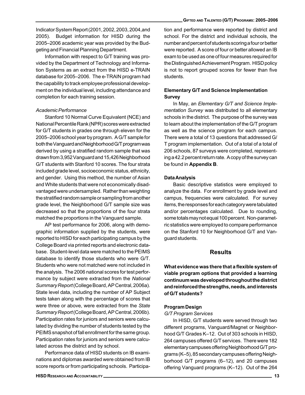Indicator System Report (2001, 2002, 2003, 2004,and 2005). Budget information for HISD during the 2005–2006 academic year was provided by the Budgeting and Financial Planning Department.

Information with respect to G/T training was provided by the Department of Technology and Information Systems as an extract from the HISD e-TRAIN database for 2005–2006. The e-TRAIN program had the capability to track employee professional development on the individual level, including attendance and completion for each training session.

#### Academic Performance

Stanford 10 Normal Curve Equivalent (NCE) and National Percentile Rank (NPR) scores were extracted for G/T students in grades one through eleven for the 2005–2006 school year by program. A G/T sample for both the Vanguard and Neighborhood G/T program was derived by using a stratified random sample that was drawn from 3,952 Vanguard and 15,426 Neighborhood G/T students with Stanford 10 scores. The four strata included grade level, socioeconomic status, ethnicity, and gender. Using this method, the number of Asian and White students that were not economically disadvantaged were undersampled. Rather than weighting the stratified random sample or sampling from another grade level, the Neighborhood G/T sample size was decreased so that the proportions of the four strata matched the proportions in the Vanguard sample.

AP test performance for 2006, along with demographic information supplied by the students, were reported to HISD for each participating campus by the College Board via printed reports and electronic database. Student-level data were matched to the PEIMS database to identify those students who were G/T. Students who were not matched were not included in the analysis. The 2006 national scores for test performance by subject were extracted from the National Summary Report (College Board, AP Central, 2006a). State level data, including the number of AP Subject tests taken along with the percentage of scores that were three or above, were extracted from the State Summary Report (College Board, AP Central, 2006b). Participation rates for juniors and seniors were calculated by dividing the number of students tested by the PEIMS snapshot of fall enrollment for the same group. Participation rates for juniors and seniors were calculated across the district and by school.

Performance data of HISD students on IB examinations and diplomas awarded were obtained from IB score reports or from participating schools. Participation and performance were reported by district and school. For the district and individual schools, the number and percent of students scoring a four or better were reported. A score of four or better allowed an IB exam to be used as one of four measures required for the Distinguished Achievement Program. HISD policy is not to report grouped scores for fewer than five students.

### Elementary G/T and Science Implementation Survey

In May, an Elementary G/T and Science Implementation Survey was distributed to all elementary schools in the district. The purpose of the survey was to learn about the implementation of the G/T program as well as the science program for each campus. There were a total of 13 questions that addressed G/ T program implementation. Out of a total of a total of 206 schools, 87 surveys were completed, representing a 42.2 percent return rate. A copy of the survey can be found in Appendix B.

#### Data Analysis

Basic descriptive statistics were employed to analyze the data. For enrollment by grade level and campus, frequencies were calculated. For survey items, the responses for each category were tabulated and/or percentages calculated. Due to rounding, some totals may not equal 100 percent. Non-parametric statistics were employed to compare performance on the Stanford 10 for Neighborhood G/T and Vanguard students.

### **Results**

What evidence was there that a flexible system of viable program options that provided a learning continuum was developed throughout the district and reinforced the strengths, needs, and interests of G/T students?

#### Program Design

#### G/T Program Services

In HISD, G/T students were served through two different programs, Vanguard/Magnet or Neighborhood G/T Grades K–12. Out of 303 schools in HISD, 264 campuses offered G/T services. There were 182 elementary campuses offering Neighborhood G/T programs (K–5), 85 secondary campuses offering Neighborhood G/T programs (6–12), and 20 campuses offering Vanguard programs (K–12). Out of the 264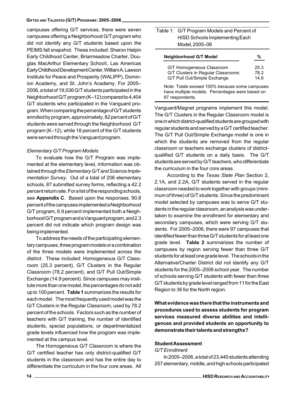#### GIFTED AND TALENTED (G/T) PROGRAMS: 2005–2006

campuses offering G/T services, there were seven campuses offering a Neighborhood G/T program who did not identify any G/T students based upon the PEIMS fall snapshot. These included: Sharon Halpin Early Childhood Center, Briarmeadow Charter, Douglas MacArthur Elementary School\, Las Americas Early Childhood Development Center, William A. Lawson Institute for Peace and Prosperity (WALIPP), Dominion Academy, and St. John's Academy. For 2005– 2006, a total of 19,036 G/T students participated in the Neighborhood G/T program (K–12) compared to 4,404 G/T students who participated in the Vanguard program. When comparing the percentage of G/T students enrolled by program, approximately, 82 percent of G/T students were served through the Neighborhood G/T program (K–12), while 18 percent of the G/T students were served through the Vanguard program.

#### Elementary G/T Program Models

To evaluate how the G/T Program was implemented at the elementary level, information was obtained through the Elementary G/T and Science Implementation Survey. Out of a total of 206 elementary schools, 87 submitted survey forms, reflecting a 42.2 percent return rate. For a list of the responding schools, see Appendix C. Based upon the responses, 90.8 percent of the campuses implemented a Neighborhood G/T program, 6.9 percent implemented both a Neighborhood G/T program and a Vanguard program, and 2.3 percent did not indicate which program design was being implemented.

To address the needs of the participating elementary campuses, three program models or a combination of the three models were implemented across the district. These included: Homogeneous G/T Classroom (25.3 percent), G/T Clusters in the Regular Classroom (78.2 percent), and G/T Pull Out/Simple Exchange (14.9 percent). Since campuses may institute more than one model, the percentages do not add up to 100 percent. Table 1 summarizes the results for each model. The most frequently used model was the G/T Clusters in the Regular Classroom, used by 78.2 percent of the schools. Factors such as the number of teachers with G/T training, the number of identified students, special populations, or departmentalized grade levels influenced how the program was implemented at the campus level.

The Homogeneous G/T Classroom is where the G/T certified teacher has only district-qualified G/T students in the classroom and has the entire day to differentiate the curriculum in the four core areas. All

| Table 1: G/T Program Models and Percent of<br><b>HISD Schools Implementing Each</b>                                  |              |
|----------------------------------------------------------------------------------------------------------------------|--------------|
| Model, 2005-06                                                                                                       |              |
| <b>Neighborhood G/T Model</b>                                                                                        | %            |
| G/T Homogeneous Classroom<br>G/T Clusters in Regular Classrooms                                                      | 25.3<br>78.2 |
| G/T Pull Out/Simple Exchange                                                                                         | 14.9         |
| Note: Totals exceed 100% because some campuses<br>have multiple models. Percentages were based on<br>87 respondents. |              |

Vanguard/Magnet programs implement this model. The G/T Clusters in the Regular Classroom model is one in which district-qualified students are grouped with regular students and served by a G/T certified teacher. The G/T Pull Out/Simple Exchange model is one in which the students are removed from the regular classroom or teachers exchange clusters of districtqualified G/T students on a daily basis. The G/T students are served by G/T teachers, who differentiate the curriculum in the four core areas.

 According to the Texas State Plan Section 2, 2.1A, and 2.2A, G/T students served in the regular classroom needed to work together with groups (minimum of three) of G/T students. Since the predominant model selected by campuses was to serve G/T students in the regular classroom, an analysis was undertaken to examine the enrollment for elementary and secondary campuses, which were serving G/T students. For 2005–2006, there were 97 campuses that identified fewer than three G/T students for at least one grade level. Table 2 summarizes the number of campuses by region serving fewer than three G/T students for at least one grade level. The schools in the Alternative/Charter District did not identify any G/T students for the 2005–2006 school year. The number of schools serving G/T students with fewer than three G/T students by grade level ranged from 11 for the East Region to 36 for the North region.

What evidence was there that the instruments and procedures used to assess students for program services measured diverse abilities and intelligences and provided students an opportunity to demonstrate their talents and strengths?

#### Student Assessment

#### G/T Enrollment

In 2005–2006, a total of 23,440 students attending 257 elementary, middle, and high schools participated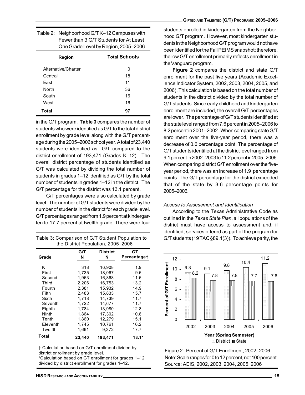| Table 2: Neighborhood G/TK-12 Campuses with |
|---------------------------------------------|
| Fewer than 3 G/T Students for At Least      |
| One Grade Level by Region, 2005-2006        |

| Region              | <b>Total Schools</b> |
|---------------------|----------------------|
| Alternative/Charter | ŋ                    |
| Central             | 18                   |
| East                | 11                   |
| <b>North</b>        | 36                   |
| South               | 16                   |
| West                | 16                   |
| Total               | 97                   |

in the G/T program. Table 3 compares the number of students who were identified as G/T to the total district enrollment by grade level along with the G/T percentage during the 2005–2006 school year. A total of 23,440 students were identified as G/T compared to the district enrollment of 193,471 (Grades K–12). The overall district percentage of students identified as G/T was calculated by dividing the total number of students in grades 1–12 identified as G/T by the total number of students in grades 1–12 in the district. The G/T percentage for the district was 13.1 percent.

 G/T percentages were also calculated by grade level. The number of G/T students were divided by the number of students in the district for each grade level. G/T percentages ranged from 1.9 percent at kindergarten to 17.7 percent at twelfth grade. There were four

Table 3: Comparison of G/T Student Population to the District Population, 2005-2006

|              | G/T    | <b>District</b> | GТ          |
|--------------|--------|-----------------|-------------|
| Grade        | N      | N               | Percentage+ |
|              |        |                 |             |
| κ            | 318    | 16,908          | 1.9         |
| First        | 1.735  | 18.067          | 9.6         |
| Second       | 1,963  | 16.868          | 11.6        |
| <b>Third</b> | 2.206  | 16,753          | 13.2        |
| Fourth       | 2.381  | 15.932          | 14.9        |
| Fifth        | 2.483  | 15.833          | 15.7        |
| Sixth        | 1.718  | 14.739          | 11.7        |
| Seventh      | 1,722  | 14.677          | 11.7        |
| Eighth       | 1.784  | 13.980          | 12.8        |
| Ninth        | 1.864  | 17.302          | 10.8        |
| Tenth        | 1,860  | 12,279          | 15.1        |
| Eleventh     | 1,745  | 10,761          | 16.2        |
| Twelfth      | 1.661  | 9.372           | 17.7        |
| Total        | 23,440 | 193.471         | $13.1*$     |

 $\dagger$  Calculation based on G/T enrollment divided by district enrollment by grade level. \*Calculation based on GT enrollment for grades 1-12

divided by district enrollment for grades 1-12.

students enrolled in kindergarten from the Neighborhood G/T program. However, most kindergarten students in the Neighborhood G/T program would not have been identified for the Fall PEIMS snapshot; therefore, the low G/T enrollment primarily reflects enrollment in the Vanguard program.

Figure 2 compares the district and state G/T enrollment for the past five years (Academic Excellence Indicator System, 2002, 2003, 2004, 2005, and 2006). This calculation is based on the total number of students in the district divided by the total number of G/T students. Since early childhood and kindergarten enrollment are included, the overall G/T percentages are lower. The percentage of G/T students identified at the state level ranged from 7.6 percent in 2005–2006 to 8.2 percent in 2001–2002. When comparing state G/T enrollment over the five-year period, there was a decrease of 0.6 percentage point. The percentage of G/T students identified at the district level ranged from 9.1 percent in 2002–2003 to 11.2 percent in 2005–2006. When comparing district G/T enrollment over the fiveyear period, there was an increase of 1.9 percentage points. The G/T percentage for the district exceeded that of the state by 3.6 percentage points for 2005–2006.

#### Access to Assessment and Identification

According to the Texas Administrative Code as outlined in the Texas State Plan, all populations of the district must have access to assessment and, if identified, services offered as part of the program for G/T students (19 TAC §89.1(3)). To achieve parity, the



Figure 2: Percent of G/T Enrollment, 2002–2006. Note: Scale ranges for 0 to 12 percent, not 100 percent. Source: AEIS, 2002, 2003, 2004, 2005, 2006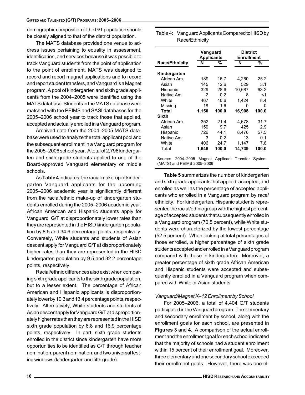demographic composition of the G/T population should be closely aligned to that of the district population.

The MATS database provided one venue to address issues pertaining to equality in assessment, identification, and services because it was possible to track Vanguard students from the point of application to the point of enrollment. MATS was designed to record and report magnet applications and to record and report student transfers, and Vanguard is a Magnet program. A pool of kindergarten and sixth grade applicants from the 2004–2005 were identified using the MATS database. Students in the MATS database were matched with the PEIMS and SASI databases for the 2005–2006 school year to track those that applied, accepted and actually enrolled in a Vanguard program.

Archived data from the 2004–2005 MATS database were used to analyze the total applicant pool and the subsequent enrollment in a Vanguard program for the 2005–2006 school year. A total of 2,796 kindergarten and sixth grade students applied to one of the Board-approved Vanguard elementary or middle schools.

As Table 4 indicates, the racial make-up of kindergarten Vanguard applicants for the upcoming 2005–2006 academic year is significantly different from the racial/ethnic make-up of kindergarten students enrolled during the 2005–2006 academic year. African American and Hispanic students apply for Vanguard G/T at disproportionately lower rates than they are represented in the HISD kindergarten population by 8.5 and 34.6 percentage points, respectively. Conversely, White students and students of Asian descent apply for Vanguard G/T at disproportionately higher rates than they are represented in the HISD kindergarten population by 9.5 and 32.2 percentage points, respectively.

Racial/ethnic differences also exist when comparing sixth grade applicants to the sixth grade population, but to a lesser extent. The percentage of African American and Hispanic applicants is disproportionately lower by 10.3 and 13.4 percentage points, respectively. Alternatively, White students and students of Asian descent apply for Vanguard G/T at disproportionately higher rates than they are represented in the HISD sixth grade population by 6.8 and 16.9 percentage points, respectively. In part, sixth grade students enrolled in the district since kindergarten have more opportunities to be identified as G/T through teacher nomination, parent nomination, and two universal testing windows (kindergarten and fifth grade).

| Table 4: Vanguard Applicants Compared to HISD by |
|--------------------------------------------------|
| Race/Ethnicity                                   |

|                                                    | Vanguard<br><b>Applicants</b> |                    | <b>District</b><br><b>Enrollment</b> |        |
|----------------------------------------------------|-------------------------------|--------------------|--------------------------------------|--------|
| <b>Race/Ethnicity</b>                              | N                             | %                  | N                                    | %      |
| Kindergarten                                       |                               |                    |                                      |        |
| African Am.                                        | 189                           | 16.7               | 4,260                                | 25.2   |
| Asian                                              | 145                           | 12.6               | 529                                  | 3.1    |
| Hispanic                                           | 329                           | 28.6               | 10,687                               | 63.2   |
| Native Am.                                         | 2                             | 0.2                | 8                                    | <1     |
| White                                              | 467                           | 40.6               | 1,424                                | 8.4    |
| Missing                                            | 18                            | 1.6                | 0                                    | 0      |
| Total                                              | 1,150                         | 100.0              | 16,908                               | 100.0  |
| <b>Sixth</b>                                       |                               |                    |                                      |        |
| African Am.                                        | 352                           | 21.4               | 4,678                                | 31.7   |
| Asian                                              | 159                           | 9.7                | 425                                  | 2.9    |
| Hispanic                                           | 726                           | 44.1               | 8.476                                | 57.5   |
| Native Am.                                         | 3                             | 0.2                | 13                                   | 0.1    |
| White                                              | 406                           | 24.7               | 1,147                                | 7.8    |
| Total                                              | 1.646                         | 100.0              | 14,739                               | 100.0  |
| 2004-2005<br>Source:<br>(MATS) and PEIMS 2005-2006 | Magnet                        | Applicant Transfer |                                      | System |

Table 5 summarizes the number of kindergarten and sixth grade applicants that applied, accepted, and enrolled as well as the percentage of accepted applicants who enrolled in a Vanguard program by race/ ethnicity. For kindergarten, Hispanic students represented the racial/ethnic group with the highest percentage of accepted students that subsequently enrolled in a Vanguard program (70.5 percent), while White students were characterized by the lowest percentage (52.5 percent). When looking at total percentages of those enrolled, a higher percentage of sixth grade students accepted and enrolled in a Vanguard program compared with those in kindergarten. Moreover, a greater percentage of sixth grade African American and Hispanic students were accepted and subsequently enrolled in a Vanguard program when compared with White or Asian students.

#### Vanguard/Magnet K–12 Enrollment by School

For 2005–2006, a total of 4,404 G/T students participated in the Vanguard program. The elementary and secondary enrollment by school, along with the enrollment goals for each school, are presented in Figures 3 and 4. A comparison of the actual enrollment and the enrollment goal for each school indicated that the majority of schools had a student enrollment within 15 percent of their enrollment goal. Moreover, three elementary and one secondary school exceeded their enrollment goals. However, there was one el-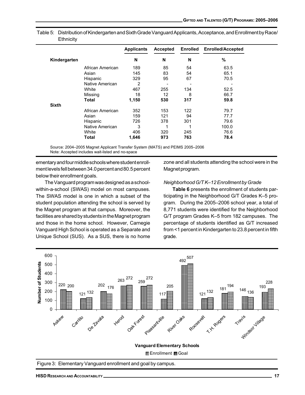|              |                  | <b>Applicants</b> | Accepted | <b>Enrolled</b> | <b>Enrolled/Accepted</b> |
|--------------|------------------|-------------------|----------|-----------------|--------------------------|
| Kindergarten |                  | N                 | N        | N               | %                        |
|              | African American | 189               | 85       | 54              | 63.5                     |
|              | Asian            | 145               | 83       | 54              | 65.1                     |
|              | Hispanic         | 329               | 95       | 67              | 70.5                     |
|              | Native American  | $\overline{2}$    |          |                 |                          |
|              | White            | 467               | 255      | 134             | 52.5                     |
|              | Missing          | 18                | 12       | 8               | 66.7                     |
|              | <b>Total</b>     | 1,150             | 530      | 317             | 59.8                     |
| <b>Sixth</b> |                  |                   |          |                 |                          |
|              | African American | 352               | 153      | 122             | 79.7                     |
|              | Asian            | 159               | 121      | 94              | 77.7                     |
|              | Hispanic         | 726               | 378      | 301             | 79.6                     |
|              | Native American  | 3                 | 1        | 1               | 100.0                    |
|              | White            | 406               | 320      | 245             | 76.6                     |
|              | Total            | 1,646             | 973      | 763             | 78.4                     |

Table 5: Distribution of Kindergarten and Sixth Grade Vanguard Applicants, Acceptance, and Enrollment by Race/ **Ethnicity** 

Source: 2004–2005 Magnet Applicant Transfer System (MATS) and PEIMS 2005–2006 Note: Accepted includes wait-listed and no-space

ementary and four middle schools where student enrollment levels fell between 34.0 percent and 80.5 percent below their enrollment goals.

The Vanguard program was designed as a schoolwithin-a-school (SWAS) model on most campuses. The SWAS model is one in which a subset of the student population attending the school is served by the Magnet program at that campus. Moreover, the facilities are shared by students in the Magnet program and those in the home school. However, Carnegie Vanguard High School is operated as a Separate and Unique School (SUS). As a SUS, there is no home

zone and all students attending the school were in the Magnet program.

### Neighborhood G/T K–12 Enrollment by Grade

Table 6 presents the enrollment of students participating in the Neighborhood G/T Grades K–5 program. During the 2005–2006 school year, a total of 8,771 students were identified for the Neighborhood G/T program Grades K–5 from 182 campuses. The percentage of students identified as G/T increased from <1 percent in Kindergarten to 23.8 percent in fifth grade.

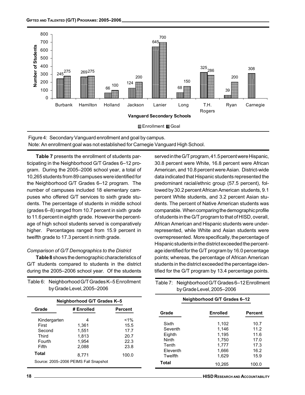

Figure 4: Secondary Vanguard enrollment and goal by campus. Note: An enrollment goal was not established for Carnegie Vanguard High School.

Table 7 presents the enrollment of students participating in the Neighborhood G/T Grades 6–12 program. During the 2005–2006 school year, a total of 10,265 students from 89 campuses were identified for the Neighborhood G/T Grades 6–12 program. The number of campuses included 18 elementary campuses who offered G/T services to sixth grade students. The percentage of students in middle school (grades 6–8) ranged from 10.7 percent in sixth grade to 11.6 percent in eighth grade. However the percentage of high school students served is comparatively higher. Percentages ranged from 15.9 percent in twelfth grade to 17.3 percent in ninth grade.

# Comparison of G/T Demographics to the District

Table 8 shows the demographic characteristics of G/T students compared to students in the district during the 2005–2006 school year. Of the students

| Table 6: Neighborhood G/T Grades K-5 Enrollment |
|-------------------------------------------------|
| by Grade Level, 2005-2006                       |

| served in the G/T program, 41.5 percent were Hispanic,   |
|----------------------------------------------------------|
| 30.8 percent were White, 16.8 percent were African       |
| American, and 10.8 percent were Asian. District-wide     |
| data indicated that Hispanic students represented the    |
| predominant racial/ethnic group (57.5 percent), fol-     |
| lowed by 30.2 percent African American students, 9.1     |
| percent White students, and 3.2 percent Asian stu-       |
| dents. The percent of Native American students was       |
| comparable. When comparing the demographic profile       |
| of students in the G/T program to that of HISD, overall, |
| African American and Hispanic students were under-       |
| represented, while White and Asian students were         |
| overrepresented. More specifically, the percentage of    |
| Hispanic students in the district exceeded the percent-  |
| age identified for the G/T program by 16.0 percentage    |
| points; whereas, the percentage of African American      |
| students in the district exceeded the percentage iden-   |
| tified for the G/T program by 13.4 percentage points.    |

Table 7: Neighborhood G/T Grades 6–12 Enrollment

| by Grade Level, 2005-2006                                            |                                                         |                                                        |                                                                     | by Grade Level, 2005-2006                                   |                                                      |
|----------------------------------------------------------------------|---------------------------------------------------------|--------------------------------------------------------|---------------------------------------------------------------------|-------------------------------------------------------------|------------------------------------------------------|
| Neighborhood G/T Grades K-5                                          |                                                         |                                                        | Neighborhood G/T Grades 6-12                                        |                                                             |                                                      |
| Grade                                                                | # Enrolled                                              | <b>Percent</b>                                         | Grade                                                               | <b>Enrolled</b>                                             | <b>Percent</b>                                       |
| Kindergarten<br>First<br>Second<br>Third<br>Fourth<br>Fifth<br>Total | 4<br>1.361<br>1.551<br>1,813<br>1.954<br>2.088<br>8.771 | $1\%$<br>15.5<br>17.7<br>20.7<br>22.3<br>23.8<br>100.0 | Sixth<br>Seventh<br>Eighth<br>Ninth<br>Tenth<br>Eleventh<br>Twelfth | 1.102<br>1.146<br>1.195<br>1.750<br>1.777<br>1.666<br>1,629 | 10.7<br>11.2<br>11.6<br>17.0<br>17.3<br>16.2<br>15.9 |
|                                                                      | Source: 2005-2006 PEIMS Fall Snapshot                   |                                                        | <b>Total</b>                                                        | 10.265                                                      | 100.0                                                |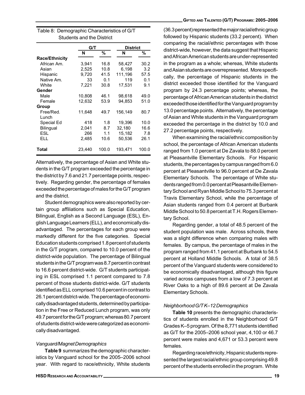|                       | G/T    |       | <b>District</b> |       |
|-----------------------|--------|-------|-----------------|-------|
|                       | N      | %     | N               | %     |
| <b>Race/Ethnicity</b> |        |       |                 |       |
| African Am.           | 3,941  | 16.8  | 58,427          | 30.2  |
| Asian                 | 2.525  | 10.8  | 6.198           | 3.2   |
| Hispanic              | 9,720  | 41.5  | 111,196         | 57.5  |
| Native Am.            | 33     | 0.1   | 119             | 0.1   |
| White                 | 7,221  | 30.8  | 17,531          | 9.1   |
| Gender                |        |       |                 |       |
| Male                  | 10,808 | 46.1  | 98,618          | 49.0  |
| Female                | 12,632 | 53.9  | 94,853          | 51.0  |
| Group                 |        |       |                 |       |
| Free/Red.             | 11,648 | 49.7  | 156,149         | 80.7  |
| Lunch                 |        |       |                 |       |
| Special Ed            | 418    | 1.8   | 19,396          | 10.0  |
| Bilingual             | 2,041  | 8.7   | 32,180          | 16.6  |
| ESL                   | 266    | 1.1   | 15,182          | 7.8   |
| ELL.                  | 2,485  | 10.6  | 50,536          | 26.1  |
| Total                 | 23,440 | 100.0 | 193,471         | 100.0 |

| Table 8: Demographic Characteristics of G/T |
|---------------------------------------------|
| Students and the District                   |

Alternatively, the percentage of Asian and White students in the G/T program exceeded the percentage in the district by 7.6 and 21.7 percentage points, respectively. Regarding gender, the percentage of females exceeded the percentage of males for the G/T program and the district.

Student demographics were also reported by certain group affiliations such as Special Education, Bilingual, English as a Second Language (ESL), English Language Learners (ELL), and economically disadvantaged. The percentages for each group were markedly different for the five categories. Special Education students comprised 1.8 percent of students in the G/T program, compared to 10.0 percent of the district-wide population. The percentage of Bilingual students in the G/T program was 8.7 percent in contrast to 16.6 percent district-wide. G/T students participating in ESL comprised 1.1 percent compared to 7.8 percent of those students district-wide. G/T students identified as ELL comprised 10.6 percent in contrast to 26.1 percent district-wide. The percentage of economically disadvantaged students, determined by participation in the Free or Reduced Lunch program, was only 49.7 percent for the G/T program; whereas 80.7 percent of students district-wide were categorized as economically disadvantaged.

#### Vanguard/Magnet Demographics

Table 9 summarizes the demographic characteristics by Vanguard school for the 2005–2006 school year. With regard to race/ethnicity, White students

(36.3 percent) represented the major racial/ethnic group followed by Hispanic students (33.2 percent). When comparing the racial/ethnic percentages with those district-wide, however, the data suggest that Hispanic and African American students are under-represented in the program as a whole; whereas, White students and Asian students are overrepresented. More specifically, the percentage of Hispanic students in the district exceeded those identified for the Vanguard program by 24.3 percentage points; whereas, the percentage of African American students in the district exceeded those identified for the Vanguard program by 13.0 percentage points. Alternatively, the percentage of Asian and White students in the Vanguard program exceeded the percentage in the district by 10.0 and 27.2 percentage points, respectively.

When examining the racial/ethnic composition by school, the percentage of African American students ranged from 1.0 percent at De Zavala to 88.0 percent at Pleasantville Elementary Schools. For Hispanic students, the percentages by campus ranged from 6.0 percent at Pleasantville to 96.0 percent at De Zavala Elementary Schools. The percentage of White students ranged from 0.0 percent at Pleasantville Elementary School and Ryan Middle School to 75.3 percent at Travis Elementary School, while the percentage of Asian students ranged from 0.4 percent at Burbank Middle School to 50.8 percent at T.H. Rogers Elementary School.

Regarding gender, a total of 48.5 percent of the student population was male. Across schools, there was a slight difference when comparing males with females. By campus, the percentage of males in the program ranged from 41.1 percent at Burbank to 54.5 percent at Holland Middle Schools. A total of 38.5 percent of the Vanguard students were considered to be economically disadvantaged, although this figure varied across campuses from a low of 7.3 percent at River Oaks to a high of 89.6 percent at De Zavala Elementary Schools.

#### Neighborhood G/T K–12 Demographics

Table 10 presents the demographic characteristics of students enrolled in the Neighborhood G/T Grades K–5 program. Of the 8,771 students identified as G/T for the 2005–2006 school year, 4,100 or 46.7 percent were males and 4,671 or 53.3 percent were females.

Regarding race/ethnicity, Hispanic students represented the largest racial/ethnic group comprising 49.8 percent of the students enrolled in the program. White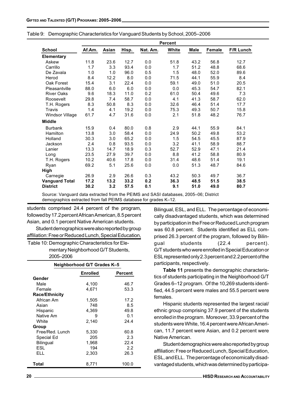|                       |        |       |       |          | <b>Percent</b> |             |        |                  |
|-----------------------|--------|-------|-------|----------|----------------|-------------|--------|------------------|
| <b>School</b>         | Af.Am. | Asian | Hisp. | Nat. Am. | White          | <b>Male</b> | Female | <b>F/R Lunch</b> |
| Elementary            |        |       |       |          |                |             |        |                  |
| Askew                 | 11.8   | 23.6  | 12.7  | 0.0      | 51.8           | 43.2        | 56.8   | 12.7             |
| Carrillo              | 1.7    | 3.3   | 93.4  | 0.0      | 1.7            | 51.2        | 48.8   | 68.6             |
| De Zavala             | 1.0    | 1.0   | 96.0  | 0.5      | 1.5            | 48.0        | 52.0   | 89.6             |
| Herod                 | 8.4    | 12.2  | 8.0   | 0.0      | 71.5           | 44.1        | 55.9   | 8.4              |
| Oak Forest            | 15.4   | 3.1   | 22.4  | 0.0      | 59.1           | 49.0        | 51.0   | 20.5             |
| Pleasantville         | 88.0   | 6.0   | 6.0   | 0.0      | 0.0            | 45.3        | 54.7   | 82.1             |
| <b>River Oaks</b>     | 9.6    | 18.3  | 11.0  | 0.2      | 61.0           | 50.4        | 49.6   | 7.3              |
| Roosevelt             | 29.8   | 7.4   | 58.7  | 0.0      | 4.1            | 41.3        | 58.7   | 62.0             |
| T.H. Rogers           | 8.3    | 50.8  | 8.3   | 0.0      | 32.6           | 46.4        | 51.4   | 17.7             |
| Travis                | 1.4    | 4.1   | 19.2  | 0.0      | 75.3           | 49.3        | 50.7   | 15.8             |
| Windsor Village       | 61.7   | 4.7   | 31.6  | 0.0      | 2.1            | 51.8        | 48.2   | 76.7             |
| <b>Middle</b>         |        |       |       |          |                |             |        |                  |
| <b>Burbank</b>        | 15.9   | 0.4   | 80.0  | 0.8      | 2.9            | 44.1        | 55.9   | 84.1             |
| Hamilton              | 13.8   | 3.0   | 58.4  | 0.0      | 24.9           | 50.2        | 49.8   | 53.2             |
| Holland               | 30.3   | 3.0   | 65.2  | 0.0      | 1.5            | 54.5        | 45.5   | 87.9             |
| Jackson               | 2.4    | 0.8   | 93.5  | 0.0      | 3.2            | 41.1        | 58.9   | 88.7             |
| Lanier                | 13.3   | 14.7  | 18.9  | 0.3      | 52.7           | 52.9        | 47.1   | 21.4             |
| Long                  | 23.5   | 27.9  | 39.7  | 0.0      | 8.8            | 41.2        | 58.8   | 80.9             |
| T.H. Rogers           | 10.2   | 40.6  | 17.8  | 0.0      | 31.4           | 48.6        | 51.4   | 19.1             |
| Ryan                  | 69.2   | 5.1   | 25.6  | 0.0      | 0.0            | 51.3        | 48.7   | 84.6             |
| High                  |        |       |       |          |                |             |        |                  |
| Carnegie              | 26.9   | 2.9   | 26.6  | 0.3      | 43.2           | 50.3        | 49.7   | 36.7             |
| <b>Vanguard Total</b> | 17.2   | 13.2  | 33.2  | 0.2      | 36.3           | 48.5        | 51.5   | 38.5             |
| <b>District</b>       | 30.2   | 3.2   | 57.5  | 0.1      | 9.1            | 51.0        | 49.0   | 80.7             |

|  | Table 9: Demographic Characteristics for Vanguard Students by School, 2005-2006 |  |
|--|---------------------------------------------------------------------------------|--|
|  |                                                                                 |  |

Source: Vanguard data extracted from the PEIMS and SASI databases, 2005-06; District demographics extracted from fall PEIMS database for grades K-12.

students comprised 24.4 percent of the program, followed by 17.2 percent African American, 8.5 percent Asian, and 0.1 percent Native American students. Student demographics were also reported by group

affiliation: Free or Reduced Lunch, Special Education, Table 10: Demographic Characteristics for Ele-

mentary Neighborhood G/T Students,

2005–2006

|                       | Neighborhood G/T Grades K-5 |                |
|-----------------------|-----------------------------|----------------|
|                       | <b>Enrolled</b>             | <b>Percent</b> |
| Gender                |                             |                |
| Male                  | 4,100                       | 46.7           |
| Female                | 4,671                       | 53.3           |
| <b>Race/Ethnicity</b> |                             |                |
| African Am            | 1,505                       | 17.2           |
| Asian                 | 748                         | 8.5            |
| Hispanic              | 4.369                       | 49.8           |
| Native Am             | 9                           | 0.1            |
| White                 | 2,140                       | 24.4           |
| Group                 |                             |                |
| Free/Red. Lunch       | 5,330                       | 60.8           |
| Special Ed            | 205                         | 2.3            |
| Bilingual             | 1,968                       | 22.4           |
| ESL                   | 194                         | 2.2            |
| FLL.                  | 2,303                       | 26.3           |
| Total                 | 8,771                       | 100.0          |

Bilingual, ESL, and ELL. The percentage of economically disadvantaged students, which was determined by participation in the Free or Reduced Lunch program was 60.8 percent. Students identified as ELL comprised 26.3 percent of the program, followed by Bilingual students (22.4 percent). G/T students who were enrolled in Special Education or ESL represented only 2.3 percent and 2.2 percent of the participants, respectively.

Table 11 presents the demographic characteristics of students participating in the Neighborhood G/T Grades 6–12 program. Of the 10,269 students identified, 44.5 percent were males and 55.5 percent were females.

Hispanic students represented the largest racial/ ethnic group comprising 37.9 percent of the students enrolled in the program. Moreover, 33.9 percent of the students were White, 16.4 percent were African American, 11.7 percent were Asian, and 0.2 percent were Native American.

Student demographics were also reported by group affiliation: Free or Reduced Lunch, Special Education, ESL, and ELL. The percentage of economically disadvantaged students, which was determined by participa-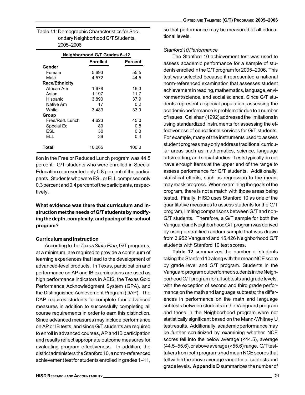| Table 11: Demographic Characteristics for Sec- |
|------------------------------------------------|
| ondary Neighborhood G/T Students,              |
| 2005-2006                                      |

|                       | Neighborhood G/T Grades 6–12 |         |
|-----------------------|------------------------------|---------|
|                       | <b>Enrolled</b>              | Percent |
| Gender                |                              |         |
| Female                | 5,693                        | 55.5    |
| Male                  | 4.572                        | 44.5    |
| <b>Race/Ethnicity</b> |                              |         |
| African Am            | 1,678                        | 16.3    |
| Asian                 | 1,197                        | 11.7    |
| Hispanic              | 3,890                        | 37.9    |
| Native Am             | 17                           | 0.2     |
| White                 | 3.483                        | 33.9    |
| Group                 |                              |         |
| Free/Red. Lunch       | 4,623                        | 45.0    |
| Special Ed            | 80                           | 0.8     |
| ESL                   | 30                           | 0.3     |
| FLL.                  | 38                           | 0.4     |
| Total                 | 10,265                       | 100.0   |

tion in the Free or Reduced Lunch program was 44.5 percent. G/T students who were enrolled in Special Education represented only 0.8 percent of the participants. Students who were ESL or ELL comprised only 0.3 percent and 0.4 percent of the participants, respectively.

What evidence was there that curriculum and instruction met the needs of G/T students by modifying the depth, complexity, and pacing of the school program?

#### Curriculum and Instruction

According to the Texas State Plan, G/T programs, at a minimum, are required to provide a continuum of learning experiences that lead to the development of advanced-level products. In Texas, participation and performance on AP and IB examinations are used as high performance indicators in AEIS, the Texas Gold Performance Acknowledgment System (GPA), and the Distinguished Achievement Program (DAP). The DAP requires students to complete four advanced measures in addition to successfully completing all course requirements in order to earn this distinction. Since advanced measures may include performance on AP or IB tests, and since G/T students are required to enroll in advanced courses, AP and IB participation and results reflect appropriate outcome measures for evaluating program effectiveness. In addition, the district administers the Stanford 10, a norm-referenced achievement test for students enrolled in grades 1–11,

so that performance may be measured at all educational levels.

### Stanford 10 Performance

The Stanford 10 achievement test was used to assess academic performance for a sample of students enrolled in the G/T program for 2005–2006. This test was selected because it represented a national norm-referenced examination that assesses student achievement in reading, mathematics, language, environment/science, and social science. Since G/T students represent a special population, assessing the academic performance is problematic due to a number of issues. Callahan (1992) addressed the limitations in using standardized instruments for assessing the effectiveness of educational services for G/T students. For example, many of the instruments used to assess student progress may only address traditional curricular areas such as mathematics, science, language arts/reading, and social studies. Tests typically do not have enough items at the upper end of the range to assess performance for G/T students. Additionally, statistical effects, such as regression to the mean, may mask progress. When examining the goals of the program, there is not a match with those areas being tested. Finally, HISD uses Stanford 10 as one of the quantitative measures to assess students for the G/T program, limiting comparisons between G/T and non-G/T students. Therefore, a G/T sample for both the Vanguard and Neighborhood G/T program was derived by using a stratified random sample that was drawn from 3,952 Vanguard and 15,426 Neighborhood G/T students with Stanford 10 test scores.

Table 12 summarizes the number of students taking the Stanford 10 along with the mean NCE score by grade level and G/T program. Students in the Vanguard program outperformed students in the Neighborhood G/T program for all subtests and grade levels, with the exception of second and third grade performance on the math and language subtests; the differences in performance on the math and language subtests between students in the Vanguard program and those in the Neighborhood program were not statistically significant based on the Mann-Whitney U test results. Additionally, academic performance may be further scrutinized by examining whether NCE scores fell into the below average (<44.5), average (44.5–55.6), or above average (>55.6) range. G/T testtakers from both programs had mean NCE scores that fell within the above average range for all subtests and grade levels. Appendix D summarizes the number of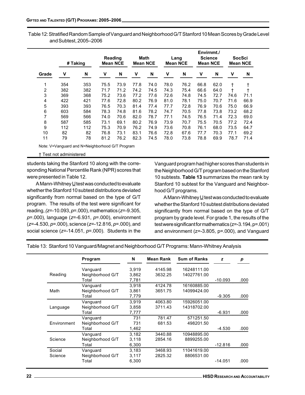Table 12: Stratified Random Sample of Vanguard and Neighborhood G/T Stanford 10 Mean Scores by Grade Level and Subtest, 2005–2006

|       |     | # Taking | Reading<br><b>Mean NCE</b> |      | Math<br><b>Mean NCE</b> |      | Lang<br><b>Mean NCE</b> |      | Envirnmt./<br><b>Science</b><br><b>Mean NCE</b> |      |      | SocSci<br><b>Mean NCE</b> |
|-------|-----|----------|----------------------------|------|-------------------------|------|-------------------------|------|-------------------------------------------------|------|------|---------------------------|
| Grade | v   | N        | v                          | N    | v                       | N    | ۷                       | N    | v                                               | N    | v    | N                         |
| 1     | 354 | 353      | 75.5                       | 73.9 | 77.8                    | 74.0 | 78.0                    | 76.2 | 66.8                                            | 62.0 | t    |                           |
| 2     | 382 | 382      | 71.7                       | 71.2 | 74.2                    | 74.5 | 74.3                    | 75.4 | 66.6                                            | 64.0 | t    |                           |
| 3     | 369 | 368      | 75.2                       | 73.6 | 77.2                    | 77.6 | 72.6                    | 74.8 | 74.5                                            | 72.7 | 74.6 | 71.1                      |
| 4     | 422 | 421      | 77.6                       | 72.8 | 80.2                    | 76.9 | 81.0                    | 78.1 | 75.0                                            | 70.7 | 71.6 | 66.9                      |
| 5     | 393 | 393      | 76.5                       | 70.3 | 81.4                    | 77.4 | 77.7                    | 72.8 | 76.9                                            | 70.6 | 75.0 | 66.9                      |
| 6     | 603 | 584      | 78.3                       | 74.8 | 81.6                    | 78.2 | 74.7                    | 70.5 | 77.8                                            | 73.8 | 73.2 | 68.2                      |
| 7     | 569 | 566      | 74.0                       | 70.6 | 82.0                    | 78.7 | 77.1                    | 74.5 | 76.5                                            | 71.4 | 72.3 | 69.0                      |
| 8     | 587 | 585      | 73.1                       | 69.1 | 80.2                    | 76.9 | 73.9                    | 70.7 | 75.5                                            | 70.5 | 77.2 | 72.4                      |
| 9     | 112 | 112      | 75.3                       | 70.9 | 76.2                    | 74.9 | 73.6                    | 70.8 | 76.1                                            | 68.0 | 73.5 | 64.7                      |
| 10    | 82  | 82       | 76.8                       | 73.1 | 83.1                    | 76.6 | 72.8                    | 67.6 | 77.7                                            | 70.3 | 77.1 | 69.2                      |
| 11    | 79  | 78       | 81.2                       | 76.2 | 82.3                    | 74.5 | 78.0                    | 73.8 | 78.8                                            | 69.9 | 78.7 | 71.4                      |

Note: V=Vanguard and N=Neighborhood G/T Program

<sup>†</sup> Test not administered

students taking the Stanford 10 along with the corresponding National Percentile Rank (NPR) scores that were presented in Table 12.

A Mann-Whitney  $\underline{U}$  test was conducted to evaluate whether the Stanford 10 subtest distributions deviated significantly from normal based on the type of G/T program. The results of the test were significant for reading,  $(z=10.093, p=.000)$ , mathematics  $(z=.9.305,$  $p=0.000$ ), language (z=-6.931,  $p=0.000$ ), environment  $(z=4.530, p=.000)$ , science  $(z=.12.816, p=.000)$ , and social science ( $z=-14.051$ ,  $p=-000$ ). Students in the

Vanguard program had higher scores than students in the Neighborhood G/T program based on the Stanford 10 subtests. Table 13 summarizes the mean rank by Stanford 10 subtest for the Vanguard and Neighborhood G/T programs.

A Mann-Whitney  $\underline{U}$  test was conducted to evaluate whether the Stanford 10 subtest distributions deviated significantly from normal based on the type of G/T program by grade level. For grade 1, the results of the test were significant for mathematics (z=-3.194, p=.001) and environment (z=-3.805, p=.000), and Vanguard

Table 13: Stanford 10 Vanguard/Magnet and Neighborhood G/T Programs: Mann-Whitney Analysis

|             | Program          | N     | Mean Rank | <b>Sum of Ranks</b> | z         | p    |
|-------------|------------------|-------|-----------|---------------------|-----------|------|
|             | Vanguard         | 3.919 | 4145.98   | 16248111.00         |           |      |
| Reading     | Neighborhood G/T | 3,862 | 3632.25   | 14027761.00         |           |      |
|             | Total            | 7,781 |           |                     | $-10.093$ | .000 |
|             | Vanguard         | 3.918 | 4124.78   | 16160885.00         |           |      |
| Math        | Neighborhood G/T | 3.861 | 3651.75   | 14099424.00         |           |      |
|             | Total            | 7,779 |           |                     | $-9.305$  | .000 |
|             | Vanguard         | 3.919 | 4063.80   | 15926051.00         |           |      |
| Language    | Neighborhood G/T | 3,858 | 3711.43   | 14318702.00         |           |      |
|             | Total            | 7,777 |           |                     | $-6.931$  | .000 |
|             | Vanguard         | 731   | 781.47    | 571251.50           |           |      |
| Environment | Neighborhood G/T | 731   | 681.53    | 498201.50           |           |      |
|             | Total            | 1,462 |           |                     | $-4.530$  | .000 |
|             | Vanquard         | 3.182 | 3440.88   | 10948895.00         |           |      |
| Science     | Neighborhood G/T | 3.118 | 2854.16   | 8899255.00          |           |      |
|             | Total            | 6,300 |           |                     | $-12.816$ | .000 |
| Social      | Vanguard         | 3,183 | 3468.93   | 11041619.00         |           |      |
| Science     | Neighborhood G/T | 3,117 | 2825.32   | 8806531.00          |           |      |
|             | Total            | 6,300 |           |                     | $-14.051$ | .000 |
|             |                  |       |           |                     |           |      |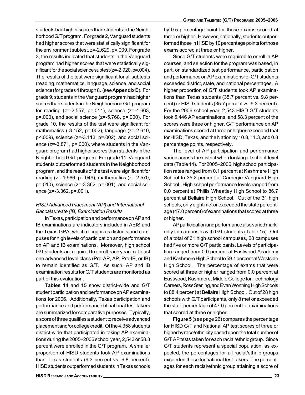students had higher scores than students in the Neighborhood G/T program. For grade 2, Vanguard students had higher scores that were statistically significant for the environment subtest, z=-2.629, p=.009. For grade 3, the results indicated that students in the Vanguard program had higher scores that were statistically significant for the social science subtest (z=-2.920, p=.004). The results of the test were significant for all subtests (reading, mathematics, language, science, and social science) for grades 4 through 8. (see Appendix E). For grade 9, students in the Vanguard program had higher scores than students in the Neighborhood G/T program for reading (z=-2.557, p=.011), science (z=-4.663, p=.000), and social science (z=-5.768, p=.000). For grade 10, the results of the test were significant for mathematics (-3.152, p=.002), language (z=-2.610, p<.009), science (z=-3.113, p=.002), and social science (z=-3.871, p=.000), where students in the Vanguard program had higher scores than students in the Neighborhood G/T program. For grade 11, Vanguard students outperformed students in the Neighborhood program, and the results of the test were significant for reading (z=-1.966, p=.049), mathematics (z=-2.570, p=.010), science (z=-3.362, p=.001), and social science (z=-3.362, p=.001).

## HISD Advanced Placement (AP) and International Baccalaureate (IB) Examination Results

In Texas, participation and performance on AP and IB examinations are indicators included in AEIS and the Texas GPA, which recognizes districts and campuses for high levels of participation and performance on AP and IB examinations. Moreover, high school G/T students are required to enroll each year in at least one advanced level class (Pre-AP, AP, Pre-IB, or IB) to remain identified as G/T. As such, AP and IB examination results for G/T students are monitored as part of this evaluation.

Tables 14 and 15 show district-wide and G/T student participation and performance on AP examinations for 2006. Additionally, Texas participation and performance and performance of national test-takers are summarized for comparative purposes. Typically, a score of three qualifies a student to receive advanced placement and/or college credit. Of the 4,358 students district-wide that participated in taking AP examinations during the 2005–2006 school year, 2,543 or 58.3 percent were enrolled in the G/T program. A smaller proportion of HISD students took AP examinations than Texas students (9.3 percent vs. 9.8 percent). HISD students outperformed students in Texas schools by 0.5 percentage point for those exams scored at three or higher. However, nationally, students outperformed those in HISD by 10 percentage points for those exams scored at three or higher.

Since G/T students were required to enroll in AP courses, and selection for the program was based, in part, on standardized test performance, participation and performance on AP examinations for G/T students exceeded district, state, and national percentages. A higher proportion of G/T students took AP examinations than Texas students (35.7 percent vs. 9.8 percent) or HISD students (35.7 percent vs. 9.3 percent). For the 2006 school year, 2,543 HISD G/T students took 5,446 AP examinations, and 58.3 percent of the scores were three or higher. G/T performance on AP examinations scored at three or higher exceeded that for HISD, Texas, and the Nation by 10.8, 11.3, and 0.8 percentage points, respectively.

The level of AP participation and performance varied across the district when looking at school-level data (Table 14). For 2005–2006, high school participation rates ranged from 0.1 percent at Kashmere High School to 35.2 percent at Carnegie Vanguard High School. High school performance levels ranged from 0.0 percent at Phillis Wheatley High School to 86.7 percent at Bellaire High School. Out of the 31 high schools, only eight met or exceeded the state percentage (47.0 percent) of examinations that scored at three or higher.

AP participation and performance also varied markedly for campuses with G/T students (Table 15). Out of a total of 31 high school campuses, 28 campuses had five or more G/T participants. Levels of participation ranged from 0.0 percent at Eastwood Academy and Kashmere High School to 59.1 percent at Westside High School. The percentage of exams that were scored at three or higher ranged from 0.0 percent at Eastwood, Kashmere, Middle College for Technology Careers, Ross Sterling, and Evan Worthing High Schools to 88.4 percent at Bellaire High School. Out of 28 high schools with G/T participants, only 8 met or exceeded the state percentage of 47.0 percent for examinations that scored at three or higher.

Figure 5 (see page 26) compares the percentage for HISD G/T and National AP test scores of three or higher by race/ethnicity based upon the total number of G/T AP tests taken for each racial/ethnic group. Since G/T students represent a special population, as expected, the percentages for all racial/ethnic groups exceeded those for national test-takers. The percentages for each racial/ethnic group attaining a score of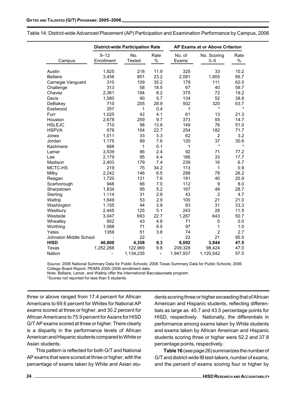|                        |            | <b>District-wide Participation Rate</b> |                |           | <b>AP Exams at or Above Criterion</b> |         |
|------------------------|------------|-----------------------------------------|----------------|-----------|---------------------------------------|---------|
|                        | $9 - 12$   | No.                                     | Rate           | No. of    | No. Scoring                           | Rate    |
| Campus                 | Enrollment | <b>Tested</b>                           | $\frac{0}{0}$  | Exams     | $3 - 5$                               | $\%$    |
|                        |            |                                         |                |           |                                       |         |
| Austin                 | 1,825      | 218                                     | 11.9           | 325       | 33                                    | 10.2    |
| <b>Bellaire</b>        | 3,456      | 801                                     | 23.2           | 2,081     | 1,805                                 | 86.7    |
| Carnegie Vanguard      | 310        | 109                                     | 35.2           | 179       | 111                                   | 62.0    |
| Challenge              | 313        | 58                                      | 18.5           | 67        | 40                                    | 59.7    |
| Chavez                 | 2,361      | 194                                     | 8.2            | 375       | 72                                    | 19.2    |
| Davis                  | 1,580      | 90                                      | 5.7            | 134       | 52                                    | 38.8    |
| DeBakey                | 710        | 205                                     | 28.9           | 502       | 320                                   | 63.7    |
| Eastwood               | 257        | 1                                       | 0.4            | 1         |                                       | $\star$ |
| Furr                   | 1,025      | 42                                      | 4.1            | 61        | 13                                    | 21.3    |
| Houston                | 2,678      | 259                                     | 9.7            | 373       | 55                                    | 14.7    |
| <b>HSLEJC</b>          | 710        | 98                                      | 13.8           | 149       | 76                                    | 51.0    |
| <b>HSPVA</b>           | 678        | 154                                     | 22.7           | 254       | 182                                   | 71.7    |
| Jones                  | 1,011      | 33                                      | 3.3            | 62        | $\overline{2}$                        | 3.2     |
| Jordan                 | 1,175      | 89                                      | 7.6            | 120       | 37                                    | 30.8    |
| Kashmere               | 668        | 1                                       | 0.1            | 1         | $\star$                               | $\star$ |
| Lamar                  | 3,539      | 86                                      | 2.4            | 92        | 71                                    | 77.2    |
| Lee                    | 2,179      | 95                                      | 4.4            | 186       | 33                                    | 17.7    |
| Madison                | 2,403      | 179                                     | 7.4            | 239       | 16                                    | 6.7     |
| MCTC-HS                | 219        | 75                                      | 34.2           | 113       | 1                                     | 0.9     |
| Milby                  | 2,242      | 146                                     | 6.5            | 298       | 78                                    | 26.2    |
| Reagan                 | 1,720      | 131                                     | 7.6            | 191       | 40                                    | 20.9    |
| Scarborough            | 948        | 66                                      | 7.0            | 112       | 9                                     | 8.0     |
| Sharpstown             | 1,834      | 95                                      | 5.2            | 167       | 48                                    | 28.7    |
| Sterling               | 1,114      | 31                                      | 2.8            | 43        | $\overline{c}$                        | 4.7     |
| Waltrip                | 1,849      | 53                                      | 2.9            | 100       | 21                                    | 21.0    |
| Washington             | 1,155      | 44                                      | 3.8            | 93        | 31                                    | 33.3    |
| Westbury               | 2,445      | 125                                     | 5.1            | 243       | 28                                    | 11.5    |
| Westside               | 3,047      | 693                                     | 22.7           | 1,267     | 643                                   | 50.7    |
| Wheatley               | 902        | 43                                      | 4.8            | 71        | 0                                     | 0.0     |
| Worthing               | 1,088      | 71                                      | 6.5            | 97        | 1                                     | 1.0     |
| Yates                  | 1359       | 51                                      | 3.8            | 74        | $\overline{c}$                        | 2.7     |
| Johnston Middle School |            | 22                                      | $\overline{a}$ | 22        | 21                                    | 95.5    |
| <b>HISD</b>            | 46,800     | 4,358                                   | 9.3            | 8,092     | 3,844                                 | 47.5    |
| Texas                  | 1,252,268  | 122,969                                 | 9.8            | 209,328   | 98,424                                | 47.0    |
| Nation                 |            | 1,134,235                               | $\blacksquare$ | 1,947,937 | 1,120,542                             | 57.5    |

Table 14: District-wide Advanced Placement (AP) Participation and Examination Performance by Campus, 2006

Source: 2006 National Summary Data for Public Schools; 2006 Texas Summary Data for Public Schools; 2006 College Board Report; PEIMS 2005-2006 enrollment data.

Note: Bellaire, Lamar, and Waltrip offer the International Baccalaureate program.

\*Scores not reported for less than 5 students.

three or above ranged from 17.4 percent for African Americans to 69.6 percent for Whites for National AP exams scored at three or higher, and 30.2 percent for African Americans to 75.9 percent for Asians for HISD G/T AP exams scored at three or higher. There clearly is a disparity in the performance levels of African American and Hispanic students compared to White or Asian students.

This pattern is reflected for both G/T and National AP exams that were scored at three or higher, with the percentage of exams taken by White and Asian students scoring three or higher exceeding that of African American and Hispanic students, reflecting differentials as large as 45.7 and 43.5 percentage points for HISD, respectively. Nationally, the differentials in performance among exams taken by White students and exams taken by African American and Hispanic students scoring three or higher were 52.2 and 37.8 percentage points, respectively.

Table 16 (see page 26) summarizes the number of G/T and district-wide IB test-takers, number of exams, and the percent of exams scoring four or higher by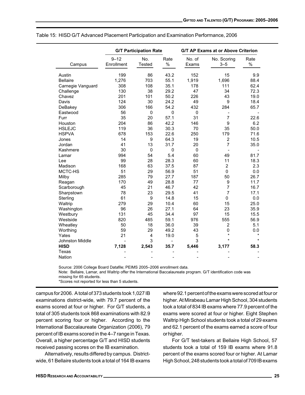|                        | <b>G/T Participation Rate</b><br><b>G/T AP Exams at or Above Criterion</b> |                  |                |             |                              |         |
|------------------------|----------------------------------------------------------------------------|------------------|----------------|-------------|------------------------------|---------|
|                        | $9 - 12$                                                                   | No.              | Rate           | No. of      | No. Scoring                  | Rate    |
| Campus                 | Enrollment                                                                 | <b>Tested</b>    | $\%$           | Exams       | $3 - 5$                      | $\%$    |
|                        | 199                                                                        | 86               | 43.2           | 152         | 15                           | 9.9     |
| Austin                 |                                                                            |                  |                |             |                              |         |
| <b>Bellaire</b>        | 1,276                                                                      | 703              | 55.1           | 1,919       | 1,696                        | 88.4    |
| Carnegie Vanguard      | 308                                                                        | 108              | 35.1           | 178         | 111                          | 62.4    |
| Challenge              | 130                                                                        | 38               | 29.2           | 47          | 34                           | 72.3    |
| Chavez                 | 201                                                                        | 101              | 50.2           | 226         | 43                           | 19.0    |
| Davis                  | 124                                                                        | 30               | 24.2           | 49          | 9                            | 18.4    |
| DeBakey                | 306                                                                        | 166              | 54.2           | 432         | 284                          | 65.7    |
| Eastwood               | 56                                                                         | $\boldsymbol{0}$ | 0              | 0           | $\qquad \qquad \blacksquare$ |         |
| Furr                   | 35                                                                         | 20               | 57.1           | 31          | $\overline{7}$               | 22.6    |
| Houston                | 204                                                                        | 86               | 42.2           | 146         | 9                            | 6.2     |
| <b>HSLEJC</b>          | 119                                                                        | 36               | 30.3           | 70          | 35                           | 50.0    |
| <b>HSPVA</b>           | 678                                                                        | 153              | 22.6           | 250         | 179                          | 71.6    |
| Jones                  | 14                                                                         | 9                | 64.3           | 19          | $\overline{2}$               | 10.5    |
| Jordan                 | 41                                                                         | 13               | 31.7           | 20          | $\overline{7}$               | 35.0    |
| Kashmere               | 30                                                                         | $\Omega$         | $\mathbf{0}$   | $\mathbf 0$ | $\overline{a}$               |         |
| Lamar                  | 994                                                                        | 54               | 5.4            | 60          | 49                           | 81.7    |
| Lee                    | 99                                                                         | 28               | 28.3           | 60          | 11                           | 18.3    |
| Madison                | 168                                                                        | 63               | 37.5           | 87          | $\overline{2}$               | 2.3     |
| MCTC-HS                | 51                                                                         | 29               | 56.9           | 51          | $\mathbf{0}$                 | 0.0     |
| Milby                  | 285                                                                        | 79               | 27.7           | 187         | 50                           | 26.7    |
| Reagan                 | 170                                                                        | 49               | 28.8           | 77          | 9                            | 11.7    |
| Scarborough            | 45                                                                         | 21               | 46.7           | 42          | 7                            | 16.7    |
| Sharpstown             | 78                                                                         | 23               | 29.5           | 41          | $\overline{7}$               | 17.1    |
| Sterling               | 61                                                                         | 9                | 14.8           | 15          | $\mathbf{0}$                 | 0.0     |
| Waltrip                | 279                                                                        | 29               | 10.4           | 60          | 15                           | 25.0    |
| Washington             | 96                                                                         | 26               | 27.1           | 64          | 23                           | 35.9    |
| Westbury               | 131                                                                        | 45               | 34.4           | 97          | 15                           | 15.5    |
| Westside               | 820                                                                        | 485              | 59.1           | 976         | 555                          | 56.9    |
| Wheatley               | 50                                                                         | 18               | 36.0           | 39          | $\overline{c}$               | 5.1     |
| Worthing               | 59                                                                         | 29               | 49.2           | 43          | $\mathbf 0$                  | 0.0     |
| Yates                  | 21                                                                         | $\overline{4}$   | 19.0           | 5           | $\star$                      | $\star$ |
| <b>Johnston Middle</b> |                                                                            | 3                | $\overline{a}$ | 3           | $\star$                      | $\star$ |
| <b>HISD</b>            | 7,128                                                                      | 2,543            | 35.7           | 5,446       | 3,177                        | 58.3    |
| Texas                  |                                                                            |                  |                |             |                              |         |
| Nation                 |                                                                            |                  |                |             |                              |         |

Table 15: HISD G/T Advanced Placement Participation and Examination Performance, 2006

Source: 2006 College Board Datafile; PEIMS 2005–2006 enrollment data.

Note: Bellaire, Lamar, and Waltrip offer the International Baccalaureate program. G/T identification code was missing for 65 students.

\*Scores not reported for less than 5 students.

campus for 2006. A total of 373 students took 1,027 IB examinations district-wide, with 79.7 percent of the exams scored at four or higher. For G/T students, a total of 305 students took 868 examinations with 82.9 percent scoring four or higher. According to the International Baccalaureate Organization (2006), 79 percent of IB exams scored in the 4–7 range in Texas. Overall, a higher percentage G/T and HISD students received passing scores on the IB examination.

Alternatively, results differed by campus. Districtwide, 61 Bellaire students took a total of 164 IB exams where 92.1 percent of the exams were scored at four or higher. At Mirabeau Lamar High School, 304 students took a total of 834 IB exams where 77.9 percent of the exams were scored at four or higher. Eight Stephen Waltrip High School students took a total of 29 exams and 62.1 percent of the exams earned a score of four or higher.

For G/T test-takers at Bellaire High School, 57 students took a total of 159 IB exams where 91.8 percent of the exams scored four or higher. At Lamar High School, 248 students took a total of 709 IB exams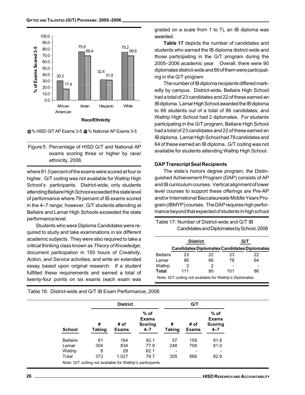



Figure 5: Percentage of HISD G/T and National AP exams scoring three or higher by race/ ethnicity, 2006.

where 81.0 percent of the exams were scored at four or higher. G/T coding was not available for Waltrip High School's participants. District-wide, only students attending Bellaire High School exceeded the state level of performance where 79 percent of IB exams scored in the 4–7 range; however, G/T students attending at Bellaire and Lamar High Schools exceeded the state performance level.

Students who were Diploma Candidates were required to study and take examinations in six different academic subjects. They were also required to take a critical thinking class known as Theory of Knowledge; document participation in 150 hours of Creativity, Action, and Service activities; and write an extended essay based upon original research. If a student fulfilled these requirements and earned a total of twenty-four points on six exams (each exam was graded on a scale from 1 to 7), an IB diploma was awarded.

Table 17 depicts the number of candidates and students who earned the IB diploma district-wide and those participating in the G/T program during the 2005–2006 academic year. Overall, there were 90 diplomates district-wide and 86 of them were participating in the G/T program.

The number of IB diploma recipients differed markedly by campus. District-wide, Bellaire High School had a total of 23 candidates and 22 of these earned an IB diploma. Lamar High School awarded the IB diploma to 66 students out of a total of 86 candidates, and Waltrip High School had 2 diplomates. For students participating in the G/T program, Bellaire High School had a total of 23 candidates and 22 of these earned an IB diploma. Lamar High School had 78 candidates and 64 of these earned an IB diploma. G/T coding was not available for students attending Waltrip High School.

#### DAP Transcript Seal Recipients

The state's honors degree program, the Distinguished Achievement Program (DAP) consists of AP and IB curriculum courses. Vertical alignment of lower level courses to support these offerings are Pre-AP and/or International Baccalaureate Middle Years Program (IBMYP) courses. The DAP requires high performance beyond that expected of students in high school

| Table 17: Number of District-wide and G/T IB |  |
|----------------------------------------------|--|
| Candidates and Diplomates by School, 2006    |  |

|                 | <b>District</b>                                          |    |     | G/T                                         |
|-----------------|----------------------------------------------------------|----|-----|---------------------------------------------|
|                 |                                                          |    |     | Candidates Diplomates Candidates Diplomates |
| <b>Bellaire</b> | 23                                                       | 22 | 23  | 22                                          |
| Lamar           | 86                                                       | 66 | 78  | 64                                          |
| Waltrip         | 2                                                        | 2  |     |                                             |
| <b>Total</b>    | 111                                                      | 90 | 101 | 86                                          |
|                 | Note: G/T coding not available for Waltrip's Diplomates. |    |     |                                             |

Table 16: District-wide and G/T IB Exam Performance, 2006

|                 |                    | <b>District</b>      |                                                     | G/T                |                      |                                                     |  |
|-----------------|--------------------|----------------------|-----------------------------------------------------|--------------------|----------------------|-----------------------------------------------------|--|
| <b>School</b>   | #<br><b>Taking</b> | # of<br><b>Exams</b> | $%$ of<br><b>Exams</b><br><b>Scoring</b><br>$4 - 7$ | #<br><b>Taking</b> | # of<br><b>Exams</b> | $%$ of<br><b>Exams</b><br><b>Scoring</b><br>$4 - 7$ |  |
| <b>Bellaire</b> | 61                 | 164                  | 92.1                                                | 57                 | 159                  | 91.8                                                |  |
| Lamar           | 304                | 834                  | 77.9                                                | 248                | 709                  | 81.0                                                |  |
| Waltrip         | 8                  | 29                   | 62.1                                                |                    |                      |                                                     |  |
| Total           | 373                | 1,027                | 79.7                                                | 305                | 868                  | 82.9                                                |  |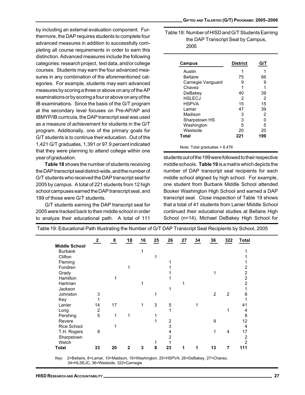GIFTED AND TALENTED (G/T) PROGRAMS: 2005–2006

by including an external evaluation component. Furthermore, the DAP requires students to complete four advanced measures in addition to successfully completing all course requirements in order to earn this distinction. Advanced measures include the following categories: research project, test data, and/or college courses. Students may earn the four advanced measures in any combination of the aforementioned categories. For example, students may earn advanced measures by scoring a three or above on any of the AP examinations or by scoring a four or above on any of the IB examinations. Since the basis of the G/T program at the secondary level focuses on Pre-AP/AP and IBMYP/IB curricula, the DAP transcript seal was used as a measure of achievement for students in the G/T program. Additionally, one of the primary goals for G/T students is to continue their education. Out of the 1,421 G/T graduates, 1,391 or 97.9 percent indicated that they were planning to attend college within one year of graduation.

Table 18 shows the number of students receiving the DAP transcript seal district-wide, and the number of G/T students who received the DAP transcript seal for 2005 by campus. A total of 221 students from 12 high school campuses earned the DAP transcript seal, and 199 of those were G/T students.

G/T students earning the DAP transcript seal for 2005 were tracked back to their middle school in order to analyze their educational path. A total of 111

Table 18: Number of HISD and G/T Students Earning the DAP Transcript Seal by Campus, 2005

| Campus            | <b>District</b> | G/T |
|-------------------|-----------------|-----|
| Austin            | 1               |     |
| Bellaire          | 75              | 66  |
| Carnegie Vanguard | 9               | 9   |
| Chavez            |                 |     |
| DeBakev           | 40              | 39  |
| <b>HSLECJ</b>     | 2               | 2   |
| HSPVA             | 15              | 15  |
| l amar            | 47              | 39  |
| Madison           | 3               | 2   |
| Sharpstown HS     | 3               | n   |
| Washington        | 5               | 5   |
| Westside          | 20              | 20  |
| Total             | 221             | 199 |
|                   |                 |     |

Note: Total graduates =  $8,476$ 

students out of the 199 were followed to their respective middle schools. Table 19 is a matrix which depicts the number of DAP transcript seal recipients for each middle school aligned by high school. For example, one student from Burbank Middle School attended Booker Washington High School and earned a DAP transcript seal. Close inspection of Table 19 shows that a total of 41 students from Lanier Middle School continued their educational studies at Bellaire High School (n=14), Michael DeBakey High School for

|                      | $\mathbf{2}$   | 8  | 10 | 16 | 25 | 26             | 27 | 34 | 36 | 322            | <b>Total</b>   |
|----------------------|----------------|----|----|----|----|----------------|----|----|----|----------------|----------------|
| <b>Middle School</b> |                |    |    |    |    |                |    |    |    |                |                |
| <b>Burbank</b>       |                |    |    |    |    |                |    |    |    |                |                |
| Clifton              |                |    |    |    |    |                |    |    |    |                |                |
| Fleming              |                |    |    |    |    |                |    |    |    |                |                |
| Fondren              |                |    |    |    |    |                |    |    |    |                | 2              |
| Grady                |                |    |    |    |    |                |    |    |    |                | $\overline{2}$ |
| Hamilton             |                |    |    |    |    |                |    |    |    |                | $\overline{2}$ |
| Hartman              |                |    |    |    |    |                |    |    |    |                | $\overline{2}$ |
| Jackson              |                |    |    |    |    |                |    |    |    |                |                |
| Johnston             | 3              |    |    |    | 1  |                |    |    | 2  | $\overline{2}$ | 8              |
| Key                  |                |    |    |    |    |                |    |    |    |                |                |
| Lanier               | 14             | 17 |    |    | 3  | 5              |    |    |    |                | 41             |
| Long                 | $\overline{2}$ |    |    |    |    | 1              |    |    |    |                | 4              |
| Pershing             | 5              | 1  |    |    |    |                |    |    |    |                | 8              |
| Revere               |                |    |    |    |    | $\overline{2}$ |    |    | 9  |                | 12             |
| Rice School          |                |    |    |    |    | 3              |    |    |    |                | 4              |
| T.H. Rogers          | 8              |    |    |    |    | 4              |    |    | 1  | 4              | 17             |
| Sharpstown           |                |    |    |    |    | 2              |    |    |    |                | 2              |
| Welch                |                |    |    |    |    |                |    |    |    |                | $\mathfrak{p}$ |
| <b>Total</b>         | 33             | 20 | 2  | 3  | 8  | 23             |    |    | 13 | 7              | 111            |

Table 19: Educational Path Illustrating the Number of G/T DAP Transcript Seal Recipients by School, 2005

Key: 2=Bellaire, 8=Lamar, 10=Madison, 16=Washington, 25=HSPVA, 26=DeBakey, 27=Chavez, 34=HLSEJC, 36=Westside, 322=Carnegie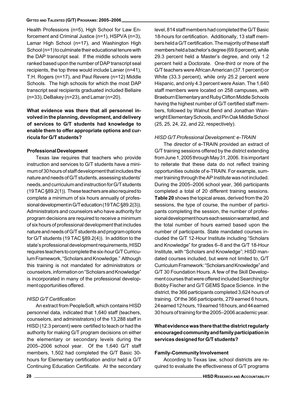Health Professions (n=5), High School for Law Enforcement and Criminal Justice (n=1), HSPVA (n=3), Lamar High School (n=17), and Washington High School (n=1) to culminate their educational tenure with the DAP transcript seal. If the middle schools were ranked based upon the number of DAP transcript seal recipients, the top three would include Lanier (n=41), T.H. Rogers (n=17), and Paul Revere (n=12) Middle Schools. The high schools for which the most DAP transcript seal recipients graduated included Bellaire (n=33), DeBakey (n=23), and Lamar (n=20).

## What evidence was there that all personnel involved in the planning, development, and delivery of services to G/T students had knowledge to enable them to offer appropriate options and curricula for G/T students?

#### Professional Development

Texas law requires that teachers who provide instruction and services to G/T students have a minimum of 30 hours of staff development that includes the nature and needs of G/T students, assessing students' needs, and curriculum and instruction for G/T students (19 TAC §89.2(1)). These teachers are also required to complete a minimum of six hours annually of professional development in G/T education (19 TAC §89.2(3)). Administrators and counselors who have authority for program decisions are required to receive a minimum of six hours of professional development that includes nature and needs of G/T students and program options for G/T students (19 TAC §89.2(4)). In addition to the state's professional development requirements, HISD requires teachers to complete the six-hour G/T Curriculum Framework, "Scholars and Knowledge." Although this training is not mandated for administrators or counselors, information on "Scholars and Knowledge" is incorporated in many of the professional development opportunities offered.

#### HISD G/T Certification

An extract from PeopleSoft, which contains HISD personnel data, indicated that 1,640 staff (teachers, counselors, and administrators) of the 13,288 staff in HISD (12.3 percent) were certified to teach or had the authority for making G/T program decisions on either the elementary or secondary levels during the 2005–2006 school year. Of the 1,640 G/T staff members, 1,502 had completed the G/T Basic 30 hours for Elementary certification and/or held a G/T Continuing Education Certificate. At the secondary level, 814 staff members had completed the G/T Basic 18-hours for certification. Additionally, 13 staff members held a G/T certification. The majority of these staff members held a bachelor's degree (69.6 percent), while 29.3 percent held a Master's degree, and only 1.2 percent held a Doctorate. One-third or more of the G/T teachers were African American (37.1 percent) or White (33.3 percent), while only 25.2 percent were Hispanic, and only 4.3 percent were Asian. The 1,640 staff members were located on 258 campuses, with Braeburn Elementary and Ruby Clifton Middle Schools having the highest number of G/T certified staff members, followed by Walnut Bend and Jonathan Wainwright Elementary Schools, and Pin Oak Middle School (25, 25, 24, 22, and 22, respectively).

#### HISD G/T Professional Development: e-TRAIN

The director of e-TRAIN provided an extract of G/T training sessions offered by the district extending from June 1, 2005 through May 31, 2006. It is important to reiterate that these data do not reflect training opportunities outside of e-TRAIN. For example, summer training through the AP Institute was not included. During the 2005–2006 school year, 366 participants completed a total of 20 different training sessions. Table 20 shows the topical areas, derived from the 20 sessions, the type of course, the number of participants completing the session, the number of professional development hours each session warranted, and the total number of hours earned based upon the number of participants. State mandated courses included the G/T 12-Hour Institute including "Scholars and Knowledge" for grades 6–8 and the G/T 18-Hour Institute, with "Scholars and Knowledge"; HISD mandated courses included, but were not limited to, G/T Curriculum Framework: "Scholars and Knowledge" and G/T 30 Foundation Hours. A few of the Skill Development courses that were offered included Searching for Bobby Fischer and G/T GEMS Space Science. In the district, the 366 participants completed 3,624 hours of training. Of the 366 participants, 279 earned 6 hours, 24 earned 12 hours, 19 earned 18 hours, and 44 earned 30 hours of training for the 2005–2006 academic year.

### What evidence was there that the district regularly encouraged community and family participation in services designed for G/T students?

#### Family-Community Involvement

According to Texas law, school districts are required to evaluate the effectiveness of G/T programs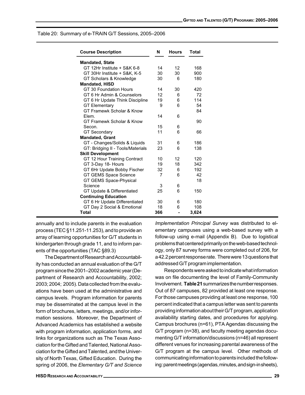|  | Table 20: Summary of e-TRAIN G/T Sessions, 2005–2006 |  |  |  |
|--|------------------------------------------------------|--|--|--|
|--|------------------------------------------------------|--|--|--|

| <b>Course Description</b>         | N   | <b>Hours</b> | Total |
|-----------------------------------|-----|--------------|-------|
| <b>Mandated, State</b>            |     |              |       |
| GT 12Hr Institute + S&K 6-8       | 14  | 12           | 168   |
| GT 30Hr Institute + S&K, K-5      | 30  | 30           | 900   |
| GT Scholars & Knowledge           | 30  | 6            | 180   |
| <b>Mandated, HISD</b>             |     |              |       |
| GT 30 Foundation Hours            | 14  | 30           | 420   |
| GT 6 Hr Admin & Counselors        | 12  | 6            | 72    |
| GT 6 Hr Update Think Discipline   | 19  | 6            | 114   |
| <b>GT Elementary</b>              | 9   | 6            | 54    |
| GT Framewk Scholar & Know         |     |              | 84    |
| Flem.                             | 14  | 6            |       |
| GT Framewk Scholar & Know         |     |              | 90    |
| Secon.                            | 15  | 6            |       |
| <b>GT Secondary</b>               | 11  | 6            | 66    |
| <b>Mandated, Grant</b>            |     |              |       |
| GT - Changes/Solids & Liquids     | 31  | 6            | 186   |
| GT: Bridging II - Tools/Materials | 23  | 6            | 138   |
| <b>Skill Development</b>          |     |              |       |
| GT 12 Hour Training Contract      | 10  | 12           | 120   |
| GT 3-Day 18- Hours                | 19  | 18           | 342   |
| GT 6Hr Update Bobby Fischer       | 32  | 6            | 192   |
| GT GEMS Space Science             | 7   | 6            | 42    |
| GT GEMS Space-Physical            |     |              | 18    |
| Science                           | 3   | 6            |       |
| GT Update & Differentiated        | 25  | 6            | 150   |
| <b>Continuing Education</b>       |     |              |       |
| GT 6 Hr Update Differentiated     | 30  | 6            | 180   |
| GT Day 2 Social & Emotional       | 18  | 6            | 108   |
| <b>Total</b>                      | 366 |              | 3,624 |

annually and to include parents in the evaluation process (TEC §11.251-11.253), and to provide an array of learning opportunities for G/T students in kindergarten through grade 11, and to inform parents of the opportunities (TAC §89.3)

The Department of Research and Accountability has conducted an annual evaluation of the G/T program since the 2001–2002 academic year (Department of Research and Accountability, 2002; 2003; 2004; 2005). Data collected from the evaluations have been used at the administrative and campus levels. Program information for parents may be disseminated at the campus level in the form of brochures, letters, meetings, and/or information sessions. Moreover, the Department of Advanced Academics has established a website with program information, application forms, and links for organizations such as The Texas Association for the Gifted and Talented, National Association for the Gifted and Talented, and the University of North Texas, Gifted Education. During the spring of 2006, the Elementary G/T and Science

Implementation Principal Survey was distributed to elementary campuses using a web-based survey with a follow-up using e-mail (Appendix B). Due to logistical problems that centered primarily on the web-based technology, only 87 survey forms were completed out of 206, for a 42.2 percent response rate. There were 13 questions that addressed G/T program implementation.

Respondents were asked to indicate what information was on file documenting the level of Family-Community Involvement. Table 21 summarizes the number responses. Out of 87 campuses, 82 provided at least one response. For those campuses providing at least one response, 100 percent indicated that a campus letter was sent to parents providing information about their G/T program, application availability starting dates, and procedures for applying. Campus brochures (n=61), PTA Agendas discussing the G/T program (n=38), and faculty meeting agendas documenting G/T information/discussions (n=46) all represent different venues for increasing parental awareness of the G/T program at the campus level. Other methods of communicating information to parents included the following: parent meetings (agendas, minutes, and sign-in sheets),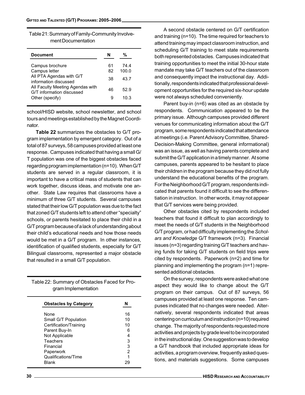| Table 21: Summary of Family-Community Involve- |  |
|------------------------------------------------|--|
| ment Documentation                             |  |

| <b>Document</b>                                                                       | N        | ℅             |  |
|---------------------------------------------------------------------------------------|----------|---------------|--|
| Campus brochure<br>Campus letter                                                      | 61<br>82 | 74 4<br>100.0 |  |
| All PTA Agendas with G/T<br>information discussed<br>All Faculty Meeting Agendas with | 38.      | 43.7          |  |
| G/T information discussed<br>Other (specify)                                          | 46<br>9  | 52.9<br>10.3  |  |
|                                                                                       |          |               |  |

school/HISD website, school newsletter, and school tours and meetings established by the Magnet Coordinator.

Table 22 summarizes the obstacles to G/T program implementation by emergent category. Out of a total of 87 surveys, 58 campuses provided at least one response. Campuses indicated that having a small G/ T population was one of the biggest obstacles faced regarding program implementation (n=10). When G/T students are served in a regular classroom, it is important to have a critical mass of students that can work together, discuss ideas, and motivate one another. State Law requires that classrooms have a minimum of three G/T students. Several campuses stated that their low G/T population was due to the fact that zoned G/T students left to attend other "specialty" schools, or parents hesitated to place their child in a G/T program because of a lack of understanding about their child's educational needs and how those needs would be met in a G/T program. In other instances, identification of qualified students, especially for G/T Bilingual classrooms, represented a major obstacle that resulted in a small G/T population.

| Table 22: Summary of Obstacles Faced for Pro- |
|-----------------------------------------------|
| gram Implementation                           |

| <b>Obstacles by Category</b> |    |
|------------------------------|----|
| None                         | 16 |
| Small G/T Population         | 10 |
| Certification/Training       | 10 |
| Parent Buy-In                | 6  |
| Not Applicable               | 4  |
| Teachers                     | 3  |
| Financial                    | 3  |
| Paperwork                    | 2  |
| Qualifications/Time          |    |
| Blank                        |    |

A second obstacle centered on G/T certification and training (n=10). The time required for teachers to attend training may impact classroom instruction, and scheduling G/T training to meet state requirements both represented obstacles. Campuses indicated that training opportunities to meet the initial 30-hour state mandate may take G/T teachers out of the classroom and consequently impact the instructional day. Additionally, respondents indicated that professional development opportunities for the required six-hour update were not always scheduled conveniently.

Parent buy-in (n=6) was cited as an obstacle by respondents. Communication appeared to be the primary issue. Although campuses provided different venues for communicating information about the G/T program, some respondents indicated that attendance at meetings (i.e. Parent Advisory Committee, Shared-Decision-Making Committee, general informational) was an issue, as well as having parents complete and submit the G/T application in a timely manner. At some campuses, parents appeared to be hesitant to place their children in the program because they did not fully understand the educational benefits of the program. For the Neighborhood G/T program, respondents indicated that parents found it difficult to see the differentiation in instruction. In other words, it may not appear that G/T services were being provided.

Other obstacles cited by respondents included teachers that found it difficult to plan accordingly to meet the needs of G/T students in the Neighborhood G/T program, or had difficulty implementing the Scholars and Knowledge G/T framework (n=3). Financial issues (n=3) regarding training G/T teachers and having funds for taking G/T students on field trips were cited by respondents. Paperwork (n=2) and time for planning and implementing the program (n=1) represented additional obstacles.

On the survey, respondents were asked what one aspect they would like to change about the G/T program on their campus. Out of 87 surveys, 56 campuses provided at least one response. Ten campuses indicated that no changes were needed. Alternatively, several respondents indicated that areas centering on curriculum and instruction (n=10) required change. The majority of respondents requested more activities and projects by grade level to be incorporated in the instructional day. One suggestion was to develop a G/T handbook that included appropriate ideas for activities, a program overview, frequently asked questions, and materials suggestions. Some campuses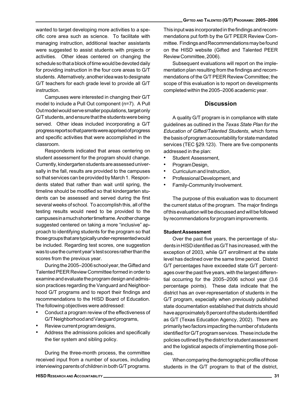wanted to target developing more activities to a specific core area such as science. To facilitate with managing instruction, additional teacher assistants were suggested to assist students with projects or activities. Other ideas centered on changing the schedule so that a block of time would be devoted daily for providing instruction in the four core areas to G/T students. Alternatively, another idea was to designate G/T teachers for each grade level to provide all G/T instruction.

Campuses were interested in changing their G/T model to include a Pull Out component (n=7). A Pull Out model would serve smaller populations, target only G/T students, and ensure that the students were being served. Other ideas included incorporating a G/T progress report so that parents were apprised of progress and specific activities that were accomplished in the classroom.

Respondents indicated that areas centering on student assessment for the program should change. Currently, kindergarten students are assessed universally in the fall, results are provided to the campuses so that services can be provided by March 1. Respondents stated that rather than wait until spring, the timeline should be modified so that kindergarten students can be assessed and served during the first several weeks of school. To accomplish this, all of the testing results would need to be provided to the campuses in a much shorter timeframe. Another change suggested centered on taking a more "inclusive" approach to identifying students for the program so that those groups that are typically under-represented would be included. Regarding test scores, one suggestion was to use the current year's test scores rather than the scores from the previous year.

During the 2005–2006 school year, the Gifted and Talented PEER Review Committee formed in order to examine and evaluate the program design and admission practices regarding the Vanguard and Neighborhood G/T programs and to report their findings and recommendations to the HISD Board of Education. The following objectives were addressed:

- Conduct a program review of the effectiveness of G/T Neighborhood and Vanguard programs,
- Review current program designs,
- Address the admissions policies and specifically the tier system and sibling policy.

During the three-month process, the committee received input from a number of sources, including interviewing parents of children in both G/T programs. This input was incorporated in the findings and recommendations put forth by the G/T PEER Review Committee. Findings and Recommendations may be found on the HISD website (Gifted and Talented PEER Review Committee, 2006).

Subsequent evaluations will report on the implementation plan resulting from the findings and recommendations of the G/T PEER Review Committee; the scope of this evaluation is to report on developments completed within the 2005–2006 academic year.

## **Discussion**

A quality G/T program is in compliance with state guidelines as outlined in the Texas State Plan for the Education of Gifted/Talented Students, which forms the basis of program accountability for state mandated services (TEC §29.123). There are five components addressed in the plan:

- Student Assessment,
- Program Design,
- Curriculum and Instruction,
- Professional Development, and
- Family-Community Involvement.

The purpose of this evaluation was to document the current status of the program. The major findings of this evaluation will be discussed and will be followed by recommendations for program improvements.

#### Student Assessment

Over the past five years, the percentage of students in HISD identified as G/T has increased, with the exception of 2003, while G/T enrollment at the state level has declined over the same time period. District G/T percentages have exceeded state G/T percentages over the past five years, with the largest differential occurring for the 2005–2006 school year (3.6 percentage points). These data indicate that the district has an over-representation of students in the G/T program, especially when previously published state documentation established that districts should have approximately 8 percent of the students identified as G/T (Texas Education Agency, 2002). There are primarily two factors impacting the number of students identified for G/T program services. These include the policies outlined by the district for student assessment and the logistical aspects of implementing those policies.

When comparing the demographic profile of those students in the G/T program to that of the district,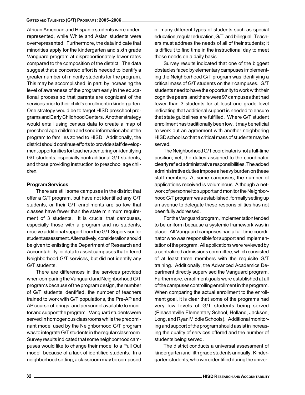African American and Hispanic students were underrepresented, while White and Asian students were overrepresented. Furthermore, the data indicate that minorities apply for the kindergarten and sixth grade Vanguard program at disproportionately lower rates compared to the composition of the district. The data suggest that a concerted effort is needed to identify a greater number of minority students for the program. This may be accomplished, in part, by increasing the level of awareness of the program early in the educational process so that parents are cognizant of the services prior to their child's enrollment in kindergarten. One strategy would be to target HISD preschool programs and Early Childhood Centers. Another strategy would entail using census data to create a map of preschool age children and send information about the program to families zoned to HISD. Additionally, the district should continue efforts to provide staff development opportunities for teachers centering on identifying G/T students, especially nontraditional G/T students, and those providing instruction to preschool age children.

#### Program Services

There are still some campuses in the district that offer a G/T program, but have not identified any G/T students, or their G/T enrollments are so low that classes have fewer than the state minimum requirement of 3 students. It is crucial that campuses, especially those with a program and no students, receive additional support from the G/T Supervisor for student assessment. Alternatively, consideration should be given to enlisting the Department of Research and Accountability for data to assist campuses that offered Neighborhood G/T services, but did not identify any G/T students.

There are differences in the services provided when comparing the Vanguard and Neighborhood G/T programs because of the program design, the number of G/T students identified, the number of teachers trained to work with G/T populations, the Pre-AP and AP course offerings, and personnel available to monitor and support the program. Vanguard students were served in homogenous classrooms while the predominant model used by the Neighborhood G/T program was to integrate G/T students in the regular classroom. Survey results indicated that some neighborhood campuses would like to change their model to a Pull Out model because of a lack of identified students. In a neighborhood setting, a classroom may be composed

of many different types of students such as special education, regular education, G/T, and bilingual. Teachers must address the needs of all of their students; it is difficult to find time in the instructional day to meet those needs on a daily basis.

Survey results indicated that one of the biggest obstacles faced by elementary campuses implementing the Neighborhood G/T program was identifying a critical mass of G/T students on their campuses. G/T students need to have the opportunity to work with their cognitive peers, and there were 97 campuses that had fewer than 3 students for at least one grade level indicating that additional support is needed to ensure that state guidelines are fulfilled. Where G/T student enrollment has traditionally been low, it may beneficial to work out an agreement with another neighboring HISD school so that a critical mass of students may be served.

The Neighborhood G/T coordinator is not a full-time position; yet, the duties assigned to the coordinator clearly reflect administrative responsibilities. The added administrative duties impose a heavy burden on these staff members. At some campuses, the number of applications received is voluminous. Although a network of personnel to support and monitor the Neighborhood G/T program was established, formally setting up an avenue to delegate these responsibilities has not been fully addressed.

For the Vanguard program, implementation tended to be uniform because a systemic framework was in place. All Vanguard campuses had a full-time coordinator who was responsible for support and implementation of the program. All applications were reviewed by a centralized admissions committee, which consisted of at least three members with the requisite G/T training. Additionally, the Advanced Academics Department directly supervised the Vanguard program. Furthermore, enrollment goals were established at all of the campuses controlling enrollment in the program. When comparing the actual enrollment to the enrollment goal, it is clear that some of the programs had very low levels of G/T students being served (Pleasantville Elementary School, Holland, Jackson, Long, and Ryan Middle Schools). Additional monitoring and support of the program should assist in increasing the quality of services offered and the number of students being served.

The district conducts a universal assessment of kindergarten and fifth grade students annually. Kindergarten students, who were identified during the univer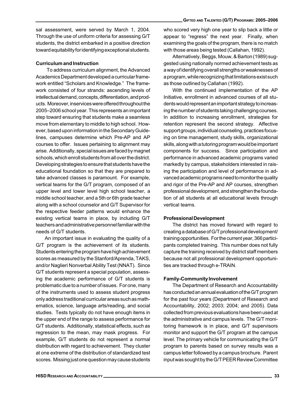sal assessment, were served by March 1, 2004. Through the use of uniform criteria for assessing G/T students, the district embarked in a positive direction toward equitability for identifying exceptional students.

# Curriculum and Instruction

 To address curriculum alignment, the Advanced Academics Department developed a curricular framework entitled "Scholars and Knowledge." The framework consisted of four strands: ascending levels of intellectual demand, concepts, differentiation, and products. Moreover, inservices were offered throughout the 2005–2006 school year. This represents an important step toward ensuring that students make a seamless move from elementary to middle to high school. However, based upon information in the Secondary Guidelines, campuses determine which Pre-AP and AP courses to offer. Issues pertaining to alignment may arise. Additionally, special issues are faced by magnet schools, which enroll students from all over the district. Developing strategies to ensure that students have the educational foundation so that they are prepared to take advanced classes is paramount. For example, vertical teams for the G/T program, composed of an upper level and lower level high school teacher, a middle school teacher, and a 5th or 6th grade teacher along with a school counselor and G/T Supervisor for the respective feeder patterns would enhance the existing vertical teams in place, by including G/T teachers and administrative personnel familiar with the needs of G/T students.

An important issue in evaluating the quality of a G/T program is the achievement of its students. Students entering the program have high achievement scores as measured by the Stanford/Aprenda, TAKS, and/or Naglieri Nonverbal Ability Test (NNAT). Since G/T students represent a special population, assessing the academic performance of G/T students is problematic due to a number of issues. For one, many of the instruments used to assess student progress only address traditional curricular areas such as mathematics, science, language arts/reading, and social studies. Tests typically do not have enough items in the upper end of the range to assess performance for G/T students. Additionally, statistical effects, such as regression to the mean, may mask progress. For example, G/T students do not represent a normal distribution with regard to achievement. They cluster at one extreme of the distribution of standardized test scores. Missing just one question may cause students

who scored very high one year to slip back a little or appear to "regress" the next year. Finally, when examining the goals of the program, there is no match with those areas being tested (Callahan, 1992).

Alternatively, Beggs, Mouw, & Barton (1989) suggested using nationally normed achievement tests as a way of identifying overall strengths or weaknesses of a program, while recognizing that limitations exist such as those outlined by Callahan (1992).

With the continued implementation of the AP Initiative, enrollment in advanced courses of all students would represent an important strategy to increasing the number of students taking challenging courses. In addition to increasing enrollment, strategies for retention represent the second strategy. Affective support groups, individual counseling, practices focusing on time management, study skills, organizational skills, along with a tutoring program would be important components for success. Since participation and performance in advanced academic programs varied markedly by campus, stakeholders interested in raising the participation and level of performance in advanced academic programs need to monitor the quality and rigor of the Pre-AP and AP courses, strengthen professional development, and strengthen the foundation of all students at all educational levels through vertical teams.

# Professional Development

The district has moved forward with regard to creating a database of G/T professional development/ training opportunities. For the current year, 366 participants completed training. This number does not fully capture the training received by district staff members because not all professional development opportunities are tracked through e-TRAIN.

# Family-Community Involvement

The Department of Research and Accountability has conducted an annual evaluation of the G/T program for the past four years (Department of Research and Accountability, 2002; 2003; 2004; and 2005). Data collected from previous evaluations have been used at the administrative and campus levels. The G/T monitoring framework is in place, and G/T supervisors monitor and support the G/T program at the campus level. The primary vehicle for communicating the G/T program to parents based on survey results was a campus letter followed by a campus brochure. Parent input was sought by the G/T PEER Review Committee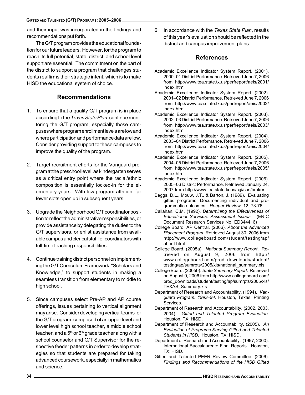and their input was incorporated in the findings and recommendations put forth.

The G/T program provides the educational foundation for our future leaders. However, for the program to reach its full potential, state, district, and school level support are essential. The commitment on the part of the district to support a program that challenges students reaffirms their strategic intent, which is to make HISD the educational system of choice.

# Recommendations

- 1. To ensure that a quality G/T program is in place according to the Texas State Plan, continue monitoring the G/T program, especially those campuses where program enrollment levels are low and where participation and performance data are low. Consider providing support to these campuses to improve the quality of the program.
- 2. Target recruitment efforts for the Vanguard program at the preschool level, as kindergarten serves as a critical entry point where the racial/ethnic composition is essentially locked-in for the elementary years. With low program attrition, far fewer slots open up in subsequent years.
- 3. Upgrade the Neighborhood G/T coordinator position to reflect the administrative responsibilities, or provide assistance by delegating the duties to the G/T supervisors, or enlist assistance from available campus and clerical staff for coordinators with full-time teaching responsibilities.
- 4. Continue training district personnel on implementing the G/T Curriculum Framework, "Scholars and Knowledge," to support students in making a seamless transition from elementary to middle to high school.
- 5. Since campuses select Pre-AP and AP course offerings, issues pertaining to vertical alignment may arise. Consider developing vertical teams for the G/T program, composed of an upper level and lower level high school teacher, a middle school teacher, and a  $5<sup>th</sup>$  or  $6<sup>th</sup>$  grade teacher along with a school counselor and G/T Supervisor for the respective feeder patterns in order to develop strategies so that students are prepared for taking advanced coursework, especially in mathematics and science.

6. In accordance with the Texas State Plan, results of this year's evaluation should be reflected in the district and campus improvement plans.

## References

- Academic Excellence Indicator System Report. (2001). 2000–01 District Performance. Retrieved June 7, 2006 from http://www.tea.state.tx.us/perfreport/aeis/2001/ index.html
- Academic Excellence Indicator System Report. (2002). 2001–02 District Performance. Retrieved June 7, 2006 from http://www.tea.state.tx.us/perfreport/aeis/2002/ index.html
- Academic Excellence Indicator System Report. (2003). 2002–03 District Performance. Retrieved June 7, 2006 from http://www.tea.state.tx.us/perfreport/aeis/2003/ index.html
- Academic Excellence Indicator System Report. (2004). 2003–04 District Performance. Retrieved June 7, 2006 from http://www.tea.state.tx.us/perfreport/aeis/2004/ index.html
- Academic Excellence Indicator System Report. (2005). 2004–05 District Performance. Retrieved June 7, 2006 from http://www.tea.state.tx.us/perfreport/aeis/2005/ index.html
- Academic Excellence Indicator System Report. (2006). 2005–06 District Performance. Retrieved January 24, 2007 from http://www.tea.state.tx.us/cgi/sas/broker
- Beggs, D.L., Mouw, J.T., & Barton, J. (1989). Evaluating gifted programs: Documenting individual and programmatic outcomes. Roeper Review, 12, 73-76.
- Callahan, C.M. (1992). Determining the Effectiveness of Educational Services: Assessment Issues. (ERIC Document Research Services No. ED344416)
- College Board, AP Central. (2006). About the Advanced Placement Program. Retrieved August 30, 2006 from http://www.collegeboard.com/student/testing/ap/ about.html
- College Board. (2005a). National Summary Report. Retrieved on August 9, 2006 from http:// www.collegeboard.com/prod\_downloads/student/ testing/ap/sumrpts/2005/xls/national\_summary.xls
- College Board. (2005b). State Summary Report. Retrieved on August 9, 2006 from http://www.collegeboard.com/ prod\_downloads/student/testing/ap/sumrpts/2005/xls/ TEXAS\_Summary.xls
- Department of Research and Accountability. (1994). Vanguard Program: 1993-94. Houston, Texas: Printing Services.
- Department of Research and Accountability. (2002, 2003, 2004). Gifted and Talented Program Evaluation. Houston, TX: HISD.
- Department of Research and Accountability. (2005). An Evaluation of Programs Serving Gifted and Talented Students in HISD. Houston, TX: HISD.
- Department of Research and Accountability. (1997, 2000). International Baccalaureate Final Reports. Houston, TX: HISD.
- Gifted and Talented PEER Review Committee. (2006). Findings and Recommendations of the HISD Gifted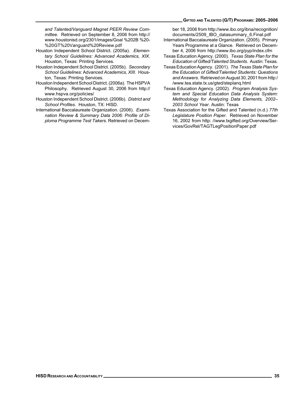#### GIFTED AND TALENTED (G/T) PROGRAMS: 2005–2006

and Talented/Vanguard Magnet PEER Review Committee. Retrieved on September 8, 2006 from http:// www.houstonisd.org/2301/images/Goal %202B %20- %20GT%20Vanguard%20Review.pdf

- Houston Independent School District. (2005a). Elementary School Guidelines: Advanced Academics, XIX. Houston, Texas: Printing Services.
- Houston Independent School District. (2005b). Secondary School Guidelines: Advanced Academics, XIII. Houston, Texas: Printing Services.
- Houston Independent School District. (2006a). The HSPVA Philosophy. Retrieved August 30, 2006 from http:// www.hspva.org/policies/
- Houston Independent School District. (2006b). District and School Profiles. Houston, TX: HISD.
- International Baccalaureate Organization. (2006). Examination Review & Summary Data 2006: Profile of Diploma Programme Test Takers. Retrieved on Decem-

ber 18, 2006 from http://www.ibo.org/ibna/recognition/ documents/2509\_IBO\_datasummary\_6.Final.pdf

- International Baccalaureate Organization. (2005). Primary Years Programme at a Glance. Retrieved on December 4, 2006 from http://www.ibo.org/pyp/index.cfm
- Texas Education Agency. (2000). Texas State Plan for the Education of Gifted/Talented Students. Austin: Texas.
- Texas Education Agency. (2001). The Texas State Plan for the Education of Gifted/Talented Students: Questions and Answers. Retrieved on August 30, 2001 from http:/ /www.tea.state.tx.us/gted/steplanq.html
- Texas Education Agency. (2002). Program Analysis System and Special Education Data Analysis System: Methodology for Analyzing Data Elements, 2002– 2003 School Year. Austin: Texas
- Texas Association for the Gifted and Talented (n.d.) 77th Legislature Position Paper. Retrieved on November 16, 2002 from http: //www.txgifted.org/Overview/Services/GovRel/TAGTLegPositionPaper.pdf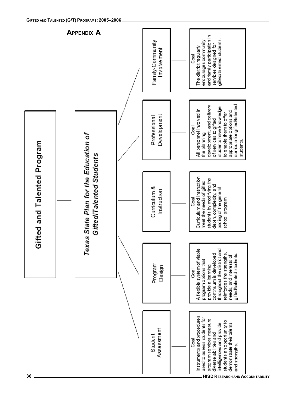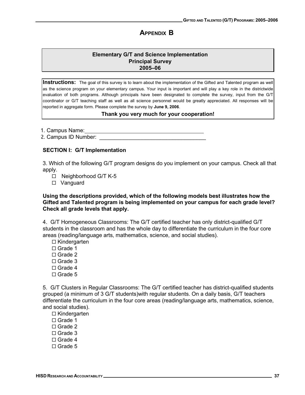# APPENDIX B

## Elementary G/T and Science Implementation **Principal Survey** 2005-06

Instructions: The goal of this survey is to learn about the implementation of the Gifted and Talented program as well as the science program on your elementary campus. Your input is important and will play a key role in the districtwide evaluation of both programs. Although principals have been designated to complete the survey, input from the G/T coordinator or G/T teaching staff as well as all science personnel would be greatly appreciated. All responses will be reported in aggregate form. Please complete the survey by June 9, 2006.

### Thank you very much for your cooperation!

1. Campus Name:

-+[`]¥¥¥¥¥¥¥¥¥¥¥¥¥¥¥¥¥¥¥¥¥¥¥¥¥¥¥¥¥¥¥¥¥¥¥

### SECTION I: G/T Implementation

3. Which of the following G/T program designs do you implement on your campus. Check all that apply.

- $\Box$  Neighborhood G/T K-5
- $\square$  Vanguard

### Using the descriptions provided, which of the following models best illustrates how the Gifted and Talented program is being implemented on your campus for each grade level? Check all grade levels that apply.

4. G/T Homogeneous Classrooms: The G/T certified teacher has only district-qualified G/T students in the classroom and has the whole day to differentiate the curriculum in the four core areas (reading/language arts, mathematics, science, and social studies).

- $\Box$  Kindergarten
- $\Box$  Grade 1
- $\Box$  Grade 2
- $\Box$  Grade 3
- $\Box$  Grade 4
- $\Box$  Grade 5

5. G/T Clusters in Regular Classrooms: The G/T certified teacher has district-qualified students grouped (a minimum of 3 G/T students)with regular students. On a daily basis, G/T teachers differentiate the curriculum in the four core areas (reading/language arts, mathematics, science, and social studies).

- $\Box$  Kindergarten
- $\Box$  Grade 1
- $\Box$  Grade 2
- $\Box$  Grade 3
- $\Box$  Grade 4
- $\Box$  Grade 5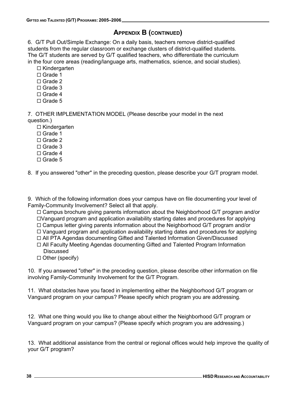# APPENDIX B (CONTINUED)

6. G/T Pull Out/Simple Exchange: On a daily basis, teachers remove district-qualified students from the regular classroom or exchange clusters of district-qualified students. The G/T students are served by G/T qualified teachers, who differentiate the curriculum in the four core areas (reading/language arts, mathematics, science, and social studies).

 $\Box$  Kindergarten

- $\Box$  Grade 1
- $\Box$  Grade 2
- $\Box$  Grade 3
- $\Box$  Grade 4
- $\Box$  Grade 5

7. OTHER IMPLEMENTATION MODEL (Please describe your model in the next question.)

- $\Box$  Kindergarten
- $\Box$  Grade 1
- $\Box$  Grade 2
- $\Box$  Grade 3
- $\Box$  Grade 4
- $\Box$  Grade 5

8. If you answered "other" in the preceding question, please describe your G/T program model.

9. Which of the following information does your campus have on file documenting your level of Family-Community Involvement? Select all that apply.

 $\Box$  Campus brochure giving parents information about the Neighborhood G/T program and/or  $\Box$ Vanguard program and application availability starting dates and procedures for applying

- $\Box$  Campus letter giving parents information about the Neighborhood G/T program and/or
- $\Box$  Vanguard program and application availability starting dates and procedures for applying

 $\Box$  All PTA Agendas documenting Gifted and Talented Information Given/Discussed

- $\Box$  All Faculty Meeting Agendas documenting Gifted and Talented Program Information **Discussed**
- $\Box$  Other (specify)

10. If you answered "other" in the preceding question, please describe other information on file involving Family-Community Involvement for the G/T Program.

11. What obstacles have you faced in implementing either the Neighborhood G/T program or Vanguard program on your campus? Please specify which program you are addressing.

12. What one thing would you like to change about either the Neighborhood G/T program or Vanguard program on your campus? (Please specify which program you are addressing.)

13. What additional assistance from the central or regional offices would help improve the quality of your G/T program?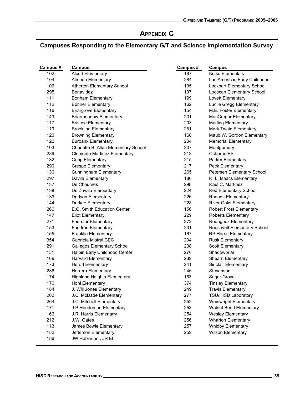# APPENDIX C

# Campuses Responding to the Elementary G/T and Science Implementation Survey

| Campus# | Campus                               | Campus# | <b>Campus</b>                  |  |  |
|---------|--------------------------------------|---------|--------------------------------|--|--|
| 102     | <b>Alcott Elementary</b>             | 187     | Kelso Elementary               |  |  |
| 104     | Almeda Elementary                    | 284     | Las Americas Early Childhood   |  |  |
| 106     | Atherton Elementary School           | 195     | Lockhart Elementary School     |  |  |
| 295     | <b>Benavidez</b>                     | 197     | Looscan Elementary School      |  |  |
| 111     | <b>Bonham Elementary</b>             | 199     | Lovett Elementary              |  |  |
| 112     | <b>Bonner Elementary</b>             | 162     | Lucile Gregg Elementary        |  |  |
| 116     | <b>Briargrove Elementary</b>         | 154     | M.E. Foster Elementary         |  |  |
| 143     | <b>Briarmeadow Elementary</b>        | 201     | <b>MacGregor Elementary</b>    |  |  |
| 117     | <b>Briscoe Elementary</b>            | 203     | <b>Mading Elementary</b>       |  |  |
| 119     | <b>Brookline Elementary</b>          | 251     | Mark Twain Elementary          |  |  |
| 120     | <b>Browning Elementary</b>           | 160     | Maud W. Gordon Elementary      |  |  |
| 122     | <b>Burbank Elementary</b>            | 204     | <b>Memorial Elementary</b>     |  |  |
| 103     | Charlotte B. Allen Elementary School | 207     | Montgomery                     |  |  |
| 289     | <b>Clemente Martinez Elementary</b>  | 213     | Osborne ES                     |  |  |
| 132     | Coop Elementary                      | 215     | Parker Elementary              |  |  |
| 290     | Crespo Elementary                    | 217     | Peck Elementary                |  |  |
| 136     | <b>Cunningham Elementary</b>         | 265     | Petersen Elementary School     |  |  |
| 297     | Davila Elementary                    | 180     | R. L. Isaacs Elementary        |  |  |
| 137     | De Chaumes                           | 298     | Raul C. Martinez               |  |  |
| 138     | De Zavala Elementary                 | 224     | Red Elementary School          |  |  |
| 139     | Dodson Elementary                    | 226     | <b>Rhoads Elementary</b>       |  |  |
| 144     | <b>Durkee Elementary</b>             | 228     | <b>River Oaks Elementary</b>   |  |  |
| 266     | E.O. Smith Education Center          | 156     | <b>Robert Frost Elementary</b> |  |  |
| 147     | <b>Eliot Elementary</b>              | 229     | <b>Roberts Elementary</b>      |  |  |
| 271     | <b>Foerster Elementary</b>           | 372     | Rodriguez Elementary           |  |  |
| 153     | <b>Fondren Elementary</b>            | 231     | Roosevelt Elementary School    |  |  |
| 155     | <b>Franklin Elementary</b>           | 167     | RP Harris Elementary           |  |  |
| 354     | Gabriela Mistral CEC                 | 234     | <b>Rusk Elementary</b>         |  |  |
| 291     | <b>Gallegos Elementary School</b>    | 238     | <b>Scott Elementary</b>        |  |  |
| 131     | Halpin Early Childhood Center        | 276     | Shadowbriar                    |  |  |
| 169     | <b>Harvard Elementary</b>            | 239     | Shearn Elementary              |  |  |
| 173     | <b>Herod Elementary</b>              | 241     | Sinclair Elementary            |  |  |
| 286     | Herrera Elementary                   | 246     | Stevenson                      |  |  |
| 174     | <b>Highland Heights Elementary</b>   | 163     | <b>Sugar Grove</b>             |  |  |
| 176     | <b>Hohl Elementary</b>               | 374     | <b>Tinsley Elementary</b>      |  |  |
| 184     | J. Will Jones Elementary             | 249     | <b>Travis Elementary</b>       |  |  |
| 202     | J.C. McDade Elementary               | 277     | <b>TSU/HISD Laboratory</b>     |  |  |
| 264     | J.C. Mitchell Elementary             | 252     | <b>Wainwright Elementary</b>   |  |  |
| 171     | J.P Henderson Elementary             | 253     | Walnut Bend Elementary         |  |  |
| 166     | J.R. Harris Elementary               | 254     | <b>Wesley Elementary</b>       |  |  |
| 212     | J.W. Oates                           | 256     | <b>Wharton Elementary</b>      |  |  |
| 113     | James Bowie Elementary               | 257     | <b>Whidby Elementary</b>       |  |  |
| 182     | Jefferson Elementary                 | 259     | <b>Wilson Elementary</b>       |  |  |
| 186     | JW Robinson, JR EI                   |         |                                |  |  |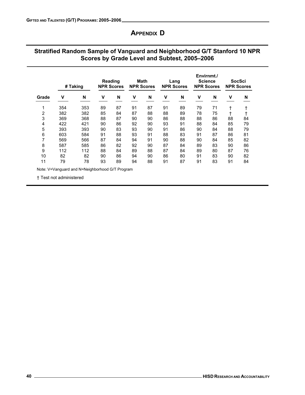# APPENDIX D

# Stratified Random Sample of Vanguard and Neighborhood G/T Stanford 10 NPR Scores by Grade Level and Subtest, 2005–2006

|                | # Taking |     |    | Reading<br><b>NPR Scores</b> |    | Math<br><b>NPR Scores</b> |    | Lang<br><b>NPR Scores</b> |    | Envirnmt./<br><b>Science</b><br><b>NPR Scores</b> | <b>NPR Scores</b> | SocSci |
|----------------|----------|-----|----|------------------------------|----|---------------------------|----|---------------------------|----|---------------------------------------------------|-------------------|--------|
| Grade          | ν        | N   | ٧  | N                            | v  | N                         | v  | N                         | v  | N                                                 | v                 | N      |
| 1              | 354      | 353 | 89 | 87                           | 91 | 87                        | 91 | 89                        | 79 | 71                                                | t                 |        |
| $\overline{c}$ | 382      | 382 | 85 | 84                           | 87 | 88                        | 88 | 89                        | 78 | 75                                                | $\pm$             |        |
| 3              | 369      | 368 | 88 | 87                           | 90 | 90                        | 86 | 88                        | 88 | 86                                                | 88                | 84     |
| 4              | 422      | 421 | 90 | 86                           | 92 | 90                        | 93 | 91                        | 88 | 84                                                | 85                | 79     |
| 5              | 393      | 393 | 90 | 83                           | 93 | 90                        | 91 | 86                        | 90 | 84                                                | 88                | 79     |
| 6              | 603      | 584 | 91 | 88                           | 93 | 91                        | 88 | 83                        | 91 | 87                                                | 86                | 81     |
| 7              | 569      | 566 | 87 | 84                           | 94 | 91                        | 90 | 88                        | 90 | 84                                                | 85                | 82     |
| 8              | 587      | 585 | 86 | 82                           | 92 | 90                        | 87 | 84                        | 89 | 83                                                | 90                | 86     |
| 9              | 112      | 112 | 88 | 84                           | 89 | 88                        | 87 | 84                        | 89 | 80                                                | 87                | 76     |
| 10             | 82       | 82  | 90 | 86                           | 94 | 90                        | 86 | 80                        | 91 | 83                                                | 90                | 82     |
| 11             | 79       | 78  | 93 | 89                           | 94 | 88                        | 91 | 87                        | 91 | 83                                                | 91                | 84     |

Note: V=Vanguard and N=Neighborhood G/T Program

† Test not administered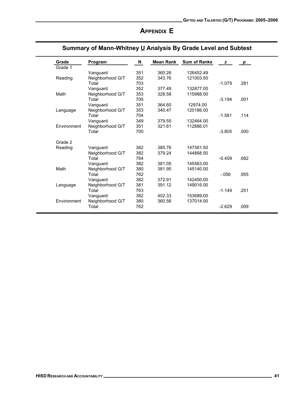# APPENDIX E

| Grade       | Program          | N   | Mean Rank | <b>Sum of Ranks</b> | z        | $\bm{p}$ |
|-------------|------------------|-----|-----------|---------------------|----------|----------|
| Grade 1     |                  |     |           |                     |          |          |
|             | Vanguard         | 351 | 360.26    | 126452.49           |          |          |
| Reading     | Neighborhood G/T | 352 | 343.76    | 121003.50           |          |          |
|             | Total            | 703 |           |                     | $-1.079$ | .281     |
|             | Vanguard         | 352 | 377.49    | 132877.00           |          |          |
| Math        | Neighborhood G/T | 353 | 328.58    | 115988.00           |          |          |
|             | Total            | 705 |           |                     | $-3.194$ | .001     |
|             | Vanguard         | 351 | 364.60    | 12974.00            |          |          |
| Language    | Neighborhood G/T | 353 | 340.47    | 120186.00           |          |          |
|             | Total            | 704 |           |                     | $-1.581$ | .114     |
|             | Vanguard         | 349 | 379.55    | 132464.00           |          |          |
| Environment | Neighborhood G/T | 351 | 321.61    | 112886.01           |          |          |
|             | Total            | 700 |           |                     | $-3.805$ | .000     |
|             |                  |     |           |                     |          |          |
| Grade 2     |                  |     |           |                     |          |          |
| Reading     | Vanguard         | 382 | 385.76    | 147361.50           |          |          |
|             | Neighborhood G/T | 382 | 379.24    | 144868.50           |          |          |
|             | Total            | 764 |           |                     | $-0.409$ | .682     |
|             | Vanguard         | 382 | 381.05    | 145563.00           |          |          |
| Math        | Neighborhood G/T | 380 | 381.95    | 145140.00           |          |          |
|             | Total            | 762 |           |                     | $-0.056$ | .955     |
|             | Vanguard         | 382 | 372.91    | 142450.00           |          |          |
| Language    | Neighborhood G/T | 381 | 391.12    | 149016.00           |          |          |
|             | Total            | 763 |           |                     | $-1.149$ | .251     |
|             | Vanguard         | 382 | 402.33    | 153689.00           |          |          |
| Environment | Neighborhood G/T | 380 | 360.56    | 137014.00           |          |          |
|             | Total            | 762 |           |                     | $-2.629$ | .009     |
|             |                  |     |           |                     |          |          |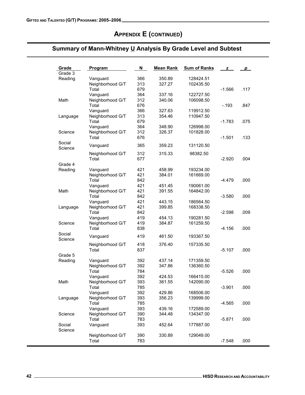Social<br>Science

Social Science

Vanguard 419<br>Science Neighborhood G/T 419

Reading Vanguard 392<br>
Neighborhood G/T 392

Vanguard

Math Neighborhood G/T 393

Vanguard 393<br>Science Neighborhood G/T 390

Neighborhood G/T 419<br>Total 838

Vanguard 419<br>Neighborhood G/T 418

Neighborhood G/T 392<br>Total 784

Total 784<br>Vanguard 392

Vanguard 392<br>Neighborhood G/T 393

Neighborhood G/T 390<br>Total 783

Vanguard 393

Language Neighborhood G/T 393 356.23<br>
Total 785

Neighborhood G/T

|                   | ummary of Mann-Whitney <u>U</u> Analysis By Grade Level and Subtest |     |                  |                     |          |      |  |  |  |  |
|-------------------|---------------------------------------------------------------------|-----|------------------|---------------------|----------|------|--|--|--|--|
| Grade             | Program                                                             | N   | <b>Mean Rank</b> | <b>Sum of Ranks</b> | z        | p    |  |  |  |  |
| Grade 3           |                                                                     |     |                  |                     |          |      |  |  |  |  |
| Reading           | Vanguard                                                            | 366 | 350.89           | 128424.51           |          |      |  |  |  |  |
|                   | Neighborhood G/T                                                    | 313 | 327.27           | 102435.50           |          |      |  |  |  |  |
|                   | Total                                                               | 679 |                  |                     | $-1.566$ | .117 |  |  |  |  |
|                   | Vanguard                                                            | 364 | 337.16           | 122727.50           |          |      |  |  |  |  |
| Math              | Neighborhood G/T                                                    | 312 | 340.06           | 106098.50           |          |      |  |  |  |  |
|                   | Total                                                               | 676 |                  |                     | $-0.193$ | .847 |  |  |  |  |
|                   | Vanguard                                                            | 366 | 327.63           | 119912.50           |          |      |  |  |  |  |
| Language          | Neighborhood G/T                                                    | 313 | 354.46           | 110947.50           |          |      |  |  |  |  |
|                   | Total                                                               | 679 |                  |                     | $-1.783$ | .075 |  |  |  |  |
|                   | Vanguard                                                            | 364 | 348.90           | 126998.00           |          |      |  |  |  |  |
| Science           | Neighborhood G/T                                                    | 312 | 326.37           | 101828.00           |          |      |  |  |  |  |
|                   | Total                                                               | 676 |                  |                     | $-1.501$ | .133 |  |  |  |  |
| Social<br>Science | Vanguard                                                            | 365 | 359.23           | 131120.50           |          |      |  |  |  |  |
|                   | Neighborhood G/T                                                    | 312 | 315.33           | 98382.50            |          |      |  |  |  |  |
|                   | Total                                                               | 677 |                  |                     | $-2.920$ | .004 |  |  |  |  |
| Grade 4           |                                                                     |     |                  |                     |          |      |  |  |  |  |
| Reading           | Vanguard                                                            | 421 | 458.99           | 193234.00           |          |      |  |  |  |  |
|                   | Neighborhood G/T                                                    | 421 | 384.01           | 161669.00           |          |      |  |  |  |  |
|                   | Total                                                               | 842 |                  |                     | $-4.479$ | .000 |  |  |  |  |
|                   | Vanguard                                                            | 421 | 451.45           | 190061.00           |          |      |  |  |  |  |
| Math              | Neighborhood G/T                                                    | 421 | 391.55           | 164842.00           |          |      |  |  |  |  |
|                   | Total                                                               | 842 |                  |                     | $-3.580$ | .000 |  |  |  |  |
|                   | Vanguard                                                            | 421 | 443.15           | 186564.50           |          |      |  |  |  |  |
| Language          | Neighborhood G/T                                                    | 421 | 399.85           | 168338.50           |          |      |  |  |  |  |
|                   | Total                                                               | 842 |                  |                     | $-2.598$ | .009 |  |  |  |  |

419

**1** Total 2013 - 838 2014 12:30 12:41

419

 $\blacksquare$   $\blacksquare$  Total  $\blacksquare$   $\blacksquare$   $\blacksquare$   $\blacksquare$   $\blacksquare$   $\blacksquare$   $\blacksquare$   $\blacksquare$   $\blacksquare$   $\blacksquare$   $\blacksquare$   $\blacksquare$   $\blacksquare$   $\blacksquare$   $\blacksquare$   $\blacksquare$   $\blacksquare$   $\blacksquare$   $\blacksquare$   $\blacksquare$   $\blacksquare$   $\blacksquare$   $\blacksquare$   $\blacksquare$   $\blacksquare$   $\blacksquare$   $\blacksquare$   $\blacksquare$   $\blacksquare$ 

! -

!

! -

! -

Neighborhood G/T 390 330.89<br>Total 783

54.

461.50

37.14

 $-5.$ 

347.86

24.

361.55

429.86

439 16

4.4

52.64

19 384.

18 376.4

 $G$ rade 5 $G$ 

 -

-

0 157335.50

171359.50

86 136360.50

53 166415.00

86 168506.00

23 139999.00

16 172589.00

8 134347.00

177887.00

89 129049.00

193367.50

. 156.

 $50$ 

 $-5.107$ 

 $-5.526$ 

 $-3.901$ 

 $-5.871$ 

.565.

548 .

2090.00 and the set of the set of the set of the set of the set of the set of the set of the set of the set of

.000

.000

.000

.000

.000

.000

.000

# APPENDIX E (CONTINUED)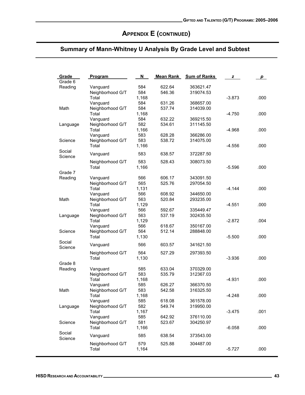# APPENDIX E (CONTINUED)

| Grade             | Program                   | N            | <b>Mean Rank</b> | <b>Sum of Ranks</b> | z        | p    |
|-------------------|---------------------------|--------------|------------------|---------------------|----------|------|
| Grade 6           |                           |              |                  |                     |          |      |
| Reading           | Vanguard                  | 584          | 622.64           | 363621.47           |          |      |
|                   | Neighborhood G/T          | 584          | 546.36           | 319074.53           |          |      |
|                   | Total                     | 1,168        |                  |                     | $-3.873$ | .000 |
| Math              | Vanguard                  | 584<br>584   | 631.26<br>537.74 | 368657.00           |          |      |
|                   | Neighborhood G/T<br>Total |              |                  | 314039.00           | $-4.750$ |      |
|                   |                           | 1,168<br>584 | 632.22           |                     |          | .000 |
|                   | Vanguard                  | 582          | 534.61           | 369215.50           |          |      |
| Language          | Neighborhood G/T<br>Total |              |                  | 311145.50           |          |      |
|                   |                           | 1,166<br>583 | 628.28           | 366286.00           | -4.968   | .000 |
|                   | Vanguard                  | 583          | 538.72           |                     |          |      |
| Science           | Neighborhood G/T<br>Total | 1,166        |                  | 314075.00           | -4.556   | .000 |
| Social            |                           |              |                  |                     |          |      |
| Science           | Vanguard                  | 583          | 638.57           | 372287.50           |          |      |
|                   | Neighborhood G/T          | 583          | 528.43           | 308073.50           |          |      |
|                   | Total                     | 1,166        |                  |                     | $-5.596$ | .000 |
| Grade 7           |                           |              |                  |                     |          |      |
| Reading           | Vanguard                  | 566          | 606.17           | 343091.50           |          |      |
|                   | Neighborhood G/T          | 565          | 525.76           | 297054.50           |          |      |
|                   | Total                     | 1,131        |                  |                     | $-4.144$ | .000 |
|                   | Vanguard                  | 566          | 608.92           | 344650.00           |          |      |
| Math              | Neighborhood G/T          | 563          | 520.84           | 293235.00           |          |      |
|                   | Total                     | 1,129        |                  |                     | -4.551   | .000 |
|                   | Vanguard                  | 566          | 592.67           | 335449.47           |          |      |
| Language          | Neighborhood G/T          | 563          | 537.19           | 302435.50           |          |      |
|                   | Total                     | 1,129        |                  |                     | $-2.872$ | .004 |
|                   | Vanguard                  | 566          | 618.67           | 350167.00           |          |      |
| Science           | Neighborhood G/T          | 564          | 512.14           | 288848.00           |          |      |
|                   | Total                     | 1,130        |                  |                     | $-5.500$ | .000 |
| Social            | Vanguard                  | 566          | 603.57           | 341621.50           |          |      |
| Science           |                           |              |                  |                     |          |      |
|                   | Neighborhood G/T          | 564          | 527.29           | 297393.50           |          |      |
|                   | Total                     | 1,130        |                  |                     | $-3.936$ | .000 |
| Grade 8           |                           |              |                  |                     |          |      |
| Reading           | Vanguard                  | 585          | 633.04           | 370329.00           |          |      |
|                   | Neighborhood G/T          | 583          | 535.79           | 312367.03           |          |      |
|                   | Total                     | 1,168        |                  |                     | $-4.931$ | .000 |
|                   | Vanguard                  | 585          | 626.27           | 366370.50           |          |      |
| Math              | Neighborhood G/T          | 583          | 542.58           | 316325.50           |          |      |
|                   | Total                     | 1,168        |                  |                     | $-4.248$ | .000 |
|                   | Vanguard                  | 585          | 618.08           | 361578.00           |          |      |
| Language          | Neighborhood G/T          | 582          | 549.74           | 319950.00           |          |      |
|                   | Total                     | 1,167        |                  |                     | $-3.475$ | .001 |
|                   | Vanguard                  | 585          | 642.92           | 376110.00           |          |      |
| Science           | Neighborhood G/T          | 581          | 523.67           | 304250.97           |          |      |
|                   | Total                     | 1,166        |                  |                     | $-6.058$ | .000 |
| Social<br>Science | Vanguard                  | 585          | 638.54           | 373543.00           |          |      |
|                   | Neighborhood G/T          | 579          | 525.88           | 304487.00           |          |      |
|                   | Total                     | 1,164        |                  |                     | $-5.727$ | .000 |
|                   |                           |              |                  |                     |          |      |